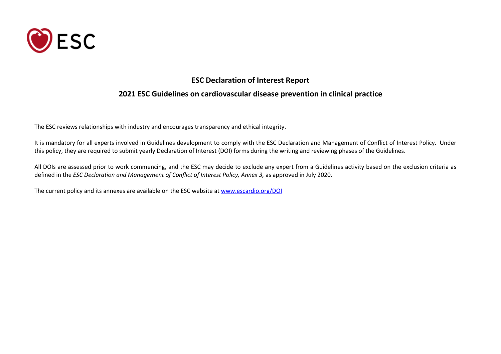

#### **ESC Declaration of Interest Report**

### **2021 ESC Guidelines on cardiovascular disease prevention in clinical practice**

The ESC reviews relationships with industry and encourages transparency and ethical integrity.

It is mandatory for all experts involved in Guidelines development to comply with the ESC Declaration and Management of Conflict of Interest Policy. Under this policy, they are required to submit yearly Declaration of Interest (DOI) forms during the writing and reviewing phases of the Guidelines.

All DOIs are assessed prior to work commencing, and the ESC may decide to exclude any expert from a Guidelines activity based on the exclusion criteria as defined in the *ESC Declaration and Management of Conflict of Interest Policy, Annex 3,* as approved in July 2020.

The current policy and its annexes are available on the ESC website at [www.escardio.org/DOI](http://www.escardio.org/DOI)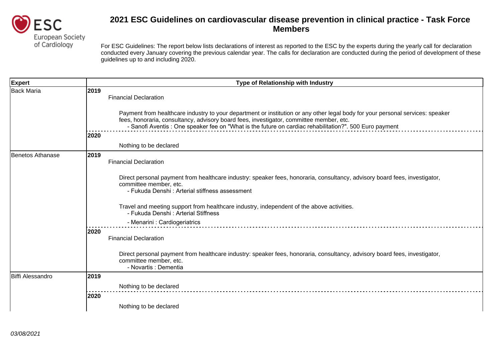

| <b>Expert</b>    | Type of Relationship with Industry                                                                                                                                                                                                                                |
|------------------|-------------------------------------------------------------------------------------------------------------------------------------------------------------------------------------------------------------------------------------------------------------------|
| Back Maria       | 2019<br><b>Financial Declaration</b><br>Payment from healthcare industry to your department or institution or any other legal body for your personal services: speaker<br>fees, honoraria, consultancy, advisory board fees, investigator, committee member, etc. |
|                  | - Sanofi Aventis : One speaker fee on "What is the future on cardiac rehabilitation?". 500 Euro payment                                                                                                                                                           |
|                  | 2020                                                                                                                                                                                                                                                              |
|                  | Nothing to be declared                                                                                                                                                                                                                                            |
| Benetos Athanase | 2019<br><b>Financial Declaration</b>                                                                                                                                                                                                                              |
|                  | Direct personal payment from healthcare industry: speaker fees, honoraria, consultancy, advisory board fees, investigator,<br>committee member, etc.<br>- Fukuda Denshi: Arterial stiffness assessment                                                            |
|                  | Travel and meeting support from healthcare industry, independent of the above activities.<br>- Fukuda Denshi : Arterial Stiffness                                                                                                                                 |
|                  | - Menarini : Cardiogeriatrics                                                                                                                                                                                                                                     |
|                  | 2020<br><b>Financial Declaration</b>                                                                                                                                                                                                                              |
|                  | Direct personal payment from healthcare industry: speaker fees, honoraria, consultancy, advisory board fees, investigator,<br>committee member, etc.<br>- Novartis : Dementia                                                                                     |
| Biffi Alessandro | 2019                                                                                                                                                                                                                                                              |
|                  | Nothing to be declared                                                                                                                                                                                                                                            |
|                  | 2020                                                                                                                                                                                                                                                              |
|                  | Nothing to be declared                                                                                                                                                                                                                                            |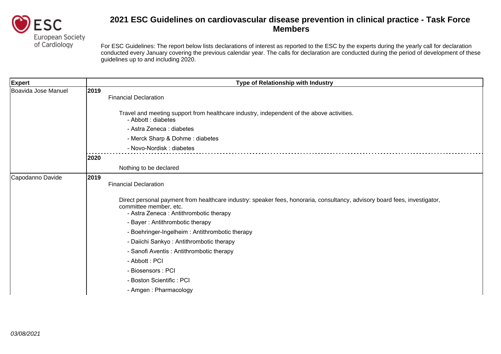

| Type of Relationship with Industry                                                                                                                                                             |
|------------------------------------------------------------------------------------------------------------------------------------------------------------------------------------------------|
| 2019<br><b>Financial Declaration</b>                                                                                                                                                           |
| Travel and meeting support from healthcare industry, independent of the above activities.<br>- Abbott : diabetes                                                                               |
| - Astra Zeneca : diabetes                                                                                                                                                                      |
| - Merck Sharp & Dohme: diabetes                                                                                                                                                                |
| - Novo-Nordisk: diabetes                                                                                                                                                                       |
| 2020                                                                                                                                                                                           |
| Nothing to be declared                                                                                                                                                                         |
| 2019<br><b>Financial Declaration</b>                                                                                                                                                           |
| Direct personal payment from healthcare industry: speaker fees, honoraria, consultancy, advisory board fees, investigator,<br>committee member, etc.<br>- Astra Zeneca: Antithrombotic therapy |
| - Bayer: Antithrombotic therapy                                                                                                                                                                |
| - Boehringer-Ingelheim: Antithrombotic therapy                                                                                                                                                 |
| - Daiichi Sankyo: Antithrombotic therapy                                                                                                                                                       |
| - Sanofi Aventis: Antithrombotic therapy                                                                                                                                                       |
| - Abbott: PCI                                                                                                                                                                                  |
| - Biosensors: PCI                                                                                                                                                                              |
| - Boston Scientific: PCI                                                                                                                                                                       |
| - Amgen: Pharmacology                                                                                                                                                                          |
|                                                                                                                                                                                                |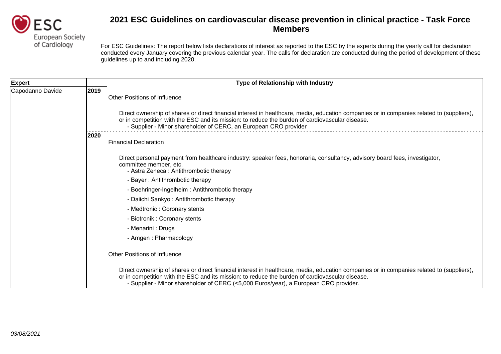

| <b>Expert</b>    |      | <b>Type of Relationship with Industry</b>                                                                                                                                                                                                                                                                                            |
|------------------|------|--------------------------------------------------------------------------------------------------------------------------------------------------------------------------------------------------------------------------------------------------------------------------------------------------------------------------------------|
| Capodanno Davide | 2019 | Other Positions of Influence                                                                                                                                                                                                                                                                                                         |
|                  |      | Direct ownership of shares or direct financial interest in healthcare, media, education companies or in companies related to (suppliers),<br>or in competition with the ESC and its mission: to reduce the burden of cardiovascular disease.<br>- Supplier - Minor shareholder of CERC, an European CRO provider                     |
|                  | 2020 | <b>Financial Declaration</b>                                                                                                                                                                                                                                                                                                         |
|                  |      | Direct personal payment from healthcare industry: speaker fees, honoraria, consultancy, advisory board fees, investigator,<br>committee member, etc.<br>- Astra Zeneca: Antithrombotic therapy                                                                                                                                       |
|                  |      | - Bayer: Antithrombotic therapy                                                                                                                                                                                                                                                                                                      |
|                  |      | - Boehringer-Ingelheim: Antithrombotic therapy                                                                                                                                                                                                                                                                                       |
|                  |      | - Daiichi Sankyo: Antithrombotic therapy                                                                                                                                                                                                                                                                                             |
|                  |      | - Medtronic: Coronary stents                                                                                                                                                                                                                                                                                                         |
|                  |      | - Biotronik: Coronary stents                                                                                                                                                                                                                                                                                                         |
|                  |      | - Menarini : Drugs                                                                                                                                                                                                                                                                                                                   |
|                  |      | - Amgen: Pharmacology                                                                                                                                                                                                                                                                                                                |
|                  |      | <b>Other Positions of Influence</b>                                                                                                                                                                                                                                                                                                  |
|                  |      | Direct ownership of shares or direct financial interest in healthcare, media, education companies or in companies related to (suppliers),<br>or in competition with the ESC and its mission: to reduce the burden of cardiovascular disease.<br>- Supplier - Minor shareholder of CERC (<5,000 Euros/year), a European CRO provider. |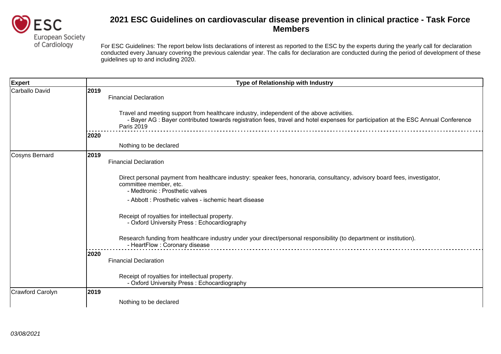

| <b>Expert</b>    | Type of Relationship with Industry                                                                                                                                                                                                                   |
|------------------|------------------------------------------------------------------------------------------------------------------------------------------------------------------------------------------------------------------------------------------------------|
| Carballo David   | 2019<br><b>Financial Declaration</b>                                                                                                                                                                                                                 |
|                  | Travel and meeting support from healthcare industry, independent of the above activities.<br>- Bayer AG : Bayer contributed towards registration fees, travel and hotel expenses for participation at the ESC Annual Conference<br><b>Paris 2019</b> |
|                  | 2020                                                                                                                                                                                                                                                 |
|                  | Nothing to be declared                                                                                                                                                                                                                               |
| Cosyns Bernard   | 2019<br><b>Financial Declaration</b>                                                                                                                                                                                                                 |
|                  | Direct personal payment from healthcare industry: speaker fees, honoraria, consultancy, advisory board fees, investigator,<br>committee member, etc.<br>- Medtronic : Prosthetic valves                                                              |
|                  | - Abbott: Prosthetic valves - ischemic heart disease                                                                                                                                                                                                 |
|                  | Receipt of royalties for intellectual property.<br>- Oxford University Press: Echocardiography                                                                                                                                                       |
|                  | Research funding from healthcare industry under your direct/personal responsibility (to department or institution).<br>- HeartFlow : Coronary disease                                                                                                |
|                  | 2020<br><b>Financial Declaration</b>                                                                                                                                                                                                                 |
|                  | Receipt of royalties for intellectual property.<br>- Oxford University Press: Echocardiography                                                                                                                                                       |
| Crawford Carolyn | 2019                                                                                                                                                                                                                                                 |
|                  | Nothing to be declared                                                                                                                                                                                                                               |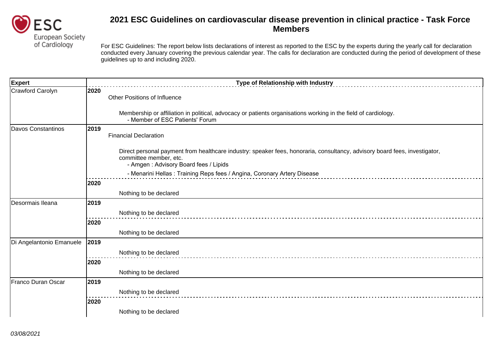

| <b>Expert</b>            |      | Type of Relationship with Industry                                                                                                                                                            |
|--------------------------|------|-----------------------------------------------------------------------------------------------------------------------------------------------------------------------------------------------|
| Crawford Carolyn         | 2020 | <b>Other Positions of Influence</b>                                                                                                                                                           |
|                          |      | Membership or affiliation in political, advocacy or patients organisations working in the field of cardiology.<br>- Member of ESC Patients' Forum                                             |
| Davos Constantinos       | 2019 | <b>Financial Declaration</b>                                                                                                                                                                  |
|                          |      | Direct personal payment from healthcare industry: speaker fees, honoraria, consultancy, advisory board fees, investigator,<br>committee member, etc.<br>- Amgen: Advisory Board fees / Lipids |
|                          |      | - Menarini Hellas: Training Reps fees / Angina, Coronary Artery Disease                                                                                                                       |
|                          | 2020 |                                                                                                                                                                                               |
|                          |      | Nothing to be declared                                                                                                                                                                        |
| Desormais Ileana         | 2019 |                                                                                                                                                                                               |
|                          |      | Nothing to be declared                                                                                                                                                                        |
|                          | 2020 |                                                                                                                                                                                               |
|                          |      | Nothing to be declared                                                                                                                                                                        |
| Di Angelantonio Emanuele | 2019 |                                                                                                                                                                                               |
|                          |      | Nothing to be declared                                                                                                                                                                        |
|                          | 2020 |                                                                                                                                                                                               |
|                          |      | Nothing to be declared                                                                                                                                                                        |
| Franco Duran Oscar       | 2019 |                                                                                                                                                                                               |
|                          |      | Nothing to be declared                                                                                                                                                                        |
|                          | 2020 |                                                                                                                                                                                               |
|                          |      | Nothing to be declared                                                                                                                                                                        |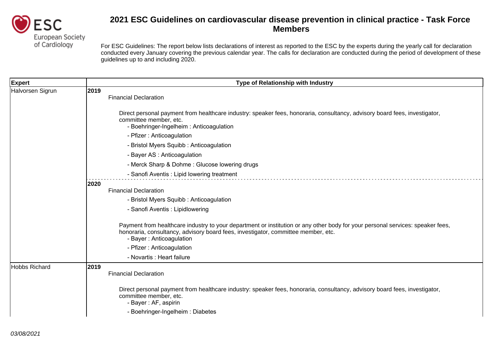

| <b>Expert</b>        | Type of Relationship with Industry                                                                                                                                                                                                              |
|----------------------|-------------------------------------------------------------------------------------------------------------------------------------------------------------------------------------------------------------------------------------------------|
| Halvorsen Sigrun     | 2019<br><b>Financial Declaration</b>                                                                                                                                                                                                            |
|                      | Direct personal payment from healthcare industry: speaker fees, honoraria, consultancy, advisory board fees, investigator,<br>committee member, etc.<br>- Boehringer-Ingelheim: Anticoagulation                                                 |
|                      | - Pfizer: Anticoagulation                                                                                                                                                                                                                       |
|                      | - Bristol Myers Squibb: Anticoagulation                                                                                                                                                                                                         |
|                      | - Bayer AS : Anticoagulation                                                                                                                                                                                                                    |
|                      | - Merck Sharp & Dohme: Glucose lowering drugs                                                                                                                                                                                                   |
|                      | - Sanofi Aventis: Lipid lowering treatment                                                                                                                                                                                                      |
|                      | 2020<br><b>Financial Declaration</b>                                                                                                                                                                                                            |
|                      | - Bristol Myers Squibb: Anticoagulation                                                                                                                                                                                                         |
|                      | - Sanofi Aventis : Lipidlowering                                                                                                                                                                                                                |
|                      | Payment from healthcare industry to your department or institution or any other body for your personal services: speaker fees,<br>honoraria, consultancy, advisory board fees, investigator, committee member, etc.<br>- Bayer: Anticoagulation |
|                      | - Pfizer: Anticoagulation                                                                                                                                                                                                                       |
|                      | - Novartis : Heart failure                                                                                                                                                                                                                      |
| <b>Hobbs Richard</b> | 2019<br><b>Financial Declaration</b>                                                                                                                                                                                                            |
|                      | Direct personal payment from healthcare industry: speaker fees, honoraria, consultancy, advisory board fees, investigator,<br>committee member, etc.<br>- Bayer: AF, aspirin                                                                    |
|                      | - Boehringer-Ingelheim: Diabetes                                                                                                                                                                                                                |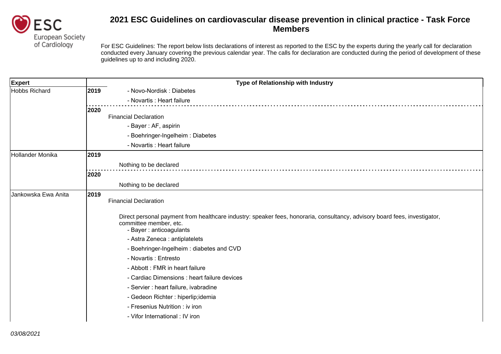

| <b>Expert</b>       |      | Type of Relationship with Industry                                                                                                                                               |
|---------------------|------|----------------------------------------------------------------------------------------------------------------------------------------------------------------------------------|
| Hobbs Richard       | 2019 | - Novo-Nordisk: Diabetes                                                                                                                                                         |
|                     |      | - Novartis : Heart failure                                                                                                                                                       |
|                     | 2020 |                                                                                                                                                                                  |
|                     |      | <b>Financial Declaration</b>                                                                                                                                                     |
|                     |      | - Bayer: AF, aspirin                                                                                                                                                             |
|                     |      | - Boehringer-Ingelheim: Diabetes                                                                                                                                                 |
|                     |      | - Novartis : Heart failure                                                                                                                                                       |
| Hollander Monika    | 2019 |                                                                                                                                                                                  |
|                     |      | Nothing to be declared                                                                                                                                                           |
|                     | 2020 |                                                                                                                                                                                  |
|                     |      | Nothing to be declared                                                                                                                                                           |
| Jankowska Ewa Anita | 2019 | <b>Financial Declaration</b>                                                                                                                                                     |
|                     |      | Direct personal payment from healthcare industry: speaker fees, honoraria, consultancy, advisory board fees, investigator,<br>committee member, etc.<br>- Bayer : anticoagulants |
|                     |      | - Astra Zeneca : antiplatelets                                                                                                                                                   |
|                     |      | - Boehringer-Ingelheim: diabetes and CVD                                                                                                                                         |
|                     |      | - Novartis : Entresto                                                                                                                                                            |
|                     |      | - Abbott: FMR in heart failure                                                                                                                                                   |
|                     |      | - Cardiac Dimensions : heart failure devices                                                                                                                                     |
|                     |      | - Servier : heart failure, ivabradine                                                                                                                                            |
|                     |      | - Gedeon Richter : hiperlip;idemia                                                                                                                                               |
|                     |      | - Fresenius Nutrition : iv iron                                                                                                                                                  |
|                     |      | - Vifor International : IV iron                                                                                                                                                  |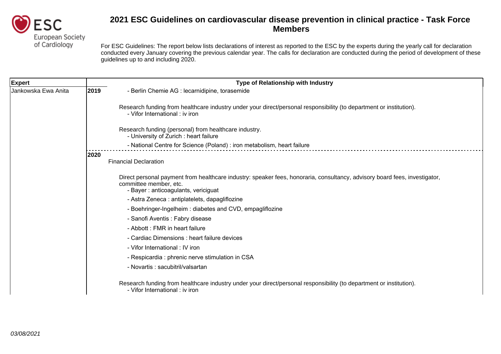

| <b>Expert</b>       |      | Type of Relationship with Industry                                                                                                                                                          |
|---------------------|------|---------------------------------------------------------------------------------------------------------------------------------------------------------------------------------------------|
| Jankowska Ewa Anita | 2019 | - Berlin Chemie AG : lecarnidipine, torasemide                                                                                                                                              |
|                     |      | Research funding from healthcare industry under your direct/personal responsibility (to department or institution).<br>- Vifor International : iv iron                                      |
|                     |      | Research funding (personal) from healthcare industry.<br>- University of Zurich: heart failure                                                                                              |
|                     |      | - National Centre for Science (Poland) : iron metabolism, heart failure                                                                                                                     |
|                     | 2020 | <b>Financial Declaration</b>                                                                                                                                                                |
|                     |      | Direct personal payment from healthcare industry: speaker fees, honoraria, consultancy, advisory board fees, investigator,<br>committee member, etc.<br>- Bayer: anticoagulants, vericiguat |
|                     |      | - Astra Zeneca : antiplatelets, dapagliflozine                                                                                                                                              |
|                     |      | - Boehringer-Ingelheim: diabetes and CVD, empagliflozine                                                                                                                                    |
|                     |      | - Sanofi Aventis : Fabry disease                                                                                                                                                            |
|                     |      | - Abbott: FMR in heart failure                                                                                                                                                              |
|                     |      | - Cardiac Dimensions : heart failure devices                                                                                                                                                |
|                     |      | - Vifor International: IV iron                                                                                                                                                              |
|                     |      | - Respicardia : phrenic nerve stimulation in CSA                                                                                                                                            |
|                     |      | - Novartis : sacubitril/valsartan                                                                                                                                                           |
|                     |      | Research funding from healthcare industry under your direct/personal responsibility (to department or institution).<br>- Vifor International : iv iron                                      |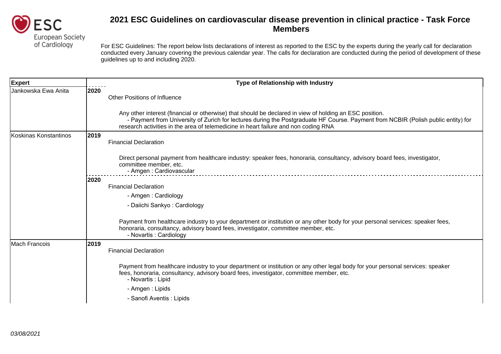

| <b>Expert</b>         |      | <b>Type of Relationship with Industry</b>                                                                                                                                                                                                                                                                                           |
|-----------------------|------|-------------------------------------------------------------------------------------------------------------------------------------------------------------------------------------------------------------------------------------------------------------------------------------------------------------------------------------|
| Jankowska Ewa Anita   | 2020 | <b>Other Positions of Influence</b>                                                                                                                                                                                                                                                                                                 |
|                       |      | Any other interest (financial or otherwise) that should be declared in view of holding an ESC position.<br>- Payment from University of Zurich for lectures during the Postgraduate HF Course. Payment from NCBIR (Polish public entity) for<br>research activities in the area of telemedicine in heart failure and non coding RNA |
| Koskinas Konstantinos | 2019 | <b>Financial Declaration</b>                                                                                                                                                                                                                                                                                                        |
|                       |      | Direct personal payment from healthcare industry: speaker fees, honoraria, consultancy, advisory board fees, investigator,<br>committee member, etc.<br>- Amgen: Cardiovascular                                                                                                                                                     |
|                       | 2020 |                                                                                                                                                                                                                                                                                                                                     |
|                       |      | <b>Financial Declaration</b>                                                                                                                                                                                                                                                                                                        |
|                       |      | - Amgen: Cardiology                                                                                                                                                                                                                                                                                                                 |
|                       |      | - Daiichi Sankyo: Cardiology                                                                                                                                                                                                                                                                                                        |
|                       |      | Payment from healthcare industry to your department or institution or any other body for your personal services: speaker fees,<br>honoraria, consultancy, advisory board fees, investigator, committee member, etc.<br>- Novartis : Cardiology                                                                                      |
| Mach Francois         | 2019 |                                                                                                                                                                                                                                                                                                                                     |
|                       |      | <b>Financial Declaration</b>                                                                                                                                                                                                                                                                                                        |
|                       |      | Payment from healthcare industry to your department or institution or any other legal body for your personal services: speaker<br>fees, honoraria, consultancy, advisory board fees, investigator, committee member, etc.<br>- Novartis : Lipid                                                                                     |
|                       |      | - Amgen: Lipids                                                                                                                                                                                                                                                                                                                     |
|                       |      | - Sanofi Aventis : Lipids                                                                                                                                                                                                                                                                                                           |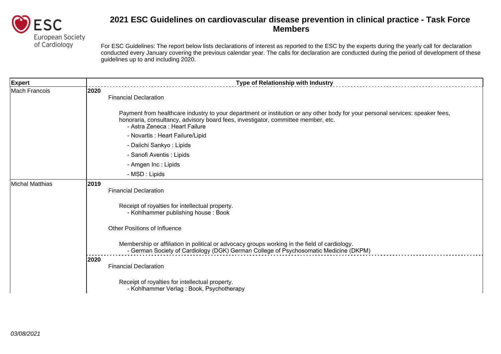

| <b>Expert</b>   | Type of Relationship with Industry                                                                                                                                                                                                                    |
|-----------------|-------------------------------------------------------------------------------------------------------------------------------------------------------------------------------------------------------------------------------------------------------|
| Mach Francois   | 2020<br><b>Financial Declaration</b>                                                                                                                                                                                                                  |
|                 | Payment from healthcare industry to your department or institution or any other body for your personal services: speaker fees,<br>honoraria, consultancy, advisory board fees, investigator, committee member, etc.<br>- Astra Zeneca : Heart Failure |
|                 | - Novartis : Heart Failure/Lipid                                                                                                                                                                                                                      |
|                 | - Daiichi Sankyo: Lipids                                                                                                                                                                                                                              |
|                 | - Sanofi Aventis : Lipids                                                                                                                                                                                                                             |
|                 | - Amgen Inc : Lipids                                                                                                                                                                                                                                  |
|                 | - MSD : Lipids                                                                                                                                                                                                                                        |
| Michal Matthias | 2019<br><b>Financial Declaration</b>                                                                                                                                                                                                                  |
|                 | Receipt of royalties for intellectual property.<br>- Kohlhammer publishing house: Book                                                                                                                                                                |
|                 | Other Positions of Influence                                                                                                                                                                                                                          |
|                 | Membership or affiliation in political or advocacy groups working in the field of cardiology.<br>- German Society of Cardiology (DGK) German College of Psychosomatic Medicine (DKPM)                                                                 |
|                 | 2020<br><b>Financial Declaration</b>                                                                                                                                                                                                                  |
|                 | Receipt of royalties for intellectual property.<br>- Kohlhammer Verlag: Book, Psychotherapy                                                                                                                                                           |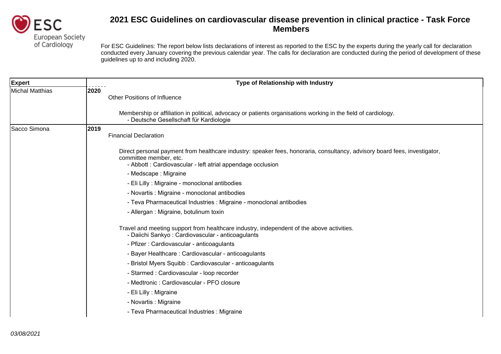

| <b>Expert</b>   |      | Type of Relationship with Industry                                                                                                                                                                                 |
|-----------------|------|--------------------------------------------------------------------------------------------------------------------------------------------------------------------------------------------------------------------|
| Michal Matthias | 2020 | <b>Other Positions of Influence</b>                                                                                                                                                                                |
|                 |      | Membership or affiliation in political, advocacy or patients organisations working in the field of cardiology.<br>- Deutsche Gesellschaft für Kardiologie                                                          |
| Sacco Simona    | 2019 | <b>Financial Declaration</b>                                                                                                                                                                                       |
|                 |      | Direct personal payment from healthcare industry: speaker fees, honoraria, consultancy, advisory board fees, investigator,<br>committee member, etc.<br>- Abbott: Cardiovascular - left atrial appendage occlusion |
|                 |      | - Medscape : Migraine                                                                                                                                                                                              |
|                 |      | - Eli Lilly : Migraine - monoclonal antibodies                                                                                                                                                                     |
|                 |      | - Novartis : Migraine - monoclonal antibodies                                                                                                                                                                      |
|                 |      | - Teva Pharmaceutical Industries : Migraine - monoclonal antibodies                                                                                                                                                |
|                 |      | - Allergan : Migraine, botulinum toxin                                                                                                                                                                             |
|                 |      | Travel and meeting support from healthcare industry, independent of the above activities.<br>- Daiichi Sankyo: Cardiovascular - anticoagulants                                                                     |
|                 |      | - Pfizer: Cardiovascular - anticoagulants                                                                                                                                                                          |
|                 |      | - Bayer Healthcare: Cardiovascular - anticoagulants                                                                                                                                                                |
|                 |      | - Bristol Myers Squibb: Cardiovascular - anticoagulants                                                                                                                                                            |
|                 |      | - Starmed: Cardiovascular - loop recorder                                                                                                                                                                          |
|                 |      | - Medtronic: Cardiovascular - PFO closure                                                                                                                                                                          |
|                 |      | - Eli Lilly : Migraine                                                                                                                                                                                             |
|                 |      | - Novartis : Migraine                                                                                                                                                                                              |
|                 |      | - Teva Pharmaceutical Industries : Migraine                                                                                                                                                                        |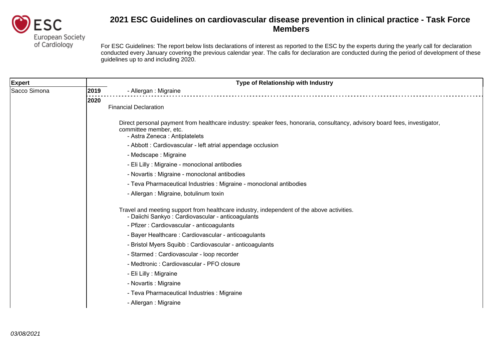

| <b>Expert</b> | Type of Relationship with Industry                                                                                                                                                    |
|---------------|---------------------------------------------------------------------------------------------------------------------------------------------------------------------------------------|
| Sacco Simona  | 2019<br>- Allergan : Migraine                                                                                                                                                         |
|               | 2020                                                                                                                                                                                  |
|               | <b>Financial Declaration</b>                                                                                                                                                          |
|               | Direct personal payment from healthcare industry: speaker fees, honoraria, consultancy, advisory board fees, investigator,<br>committee member, etc.<br>- Astra Zeneca: Antiplatelets |
|               | - Abbott: Cardiovascular - left atrial appendage occlusion                                                                                                                            |
|               | - Medscape: Migraine                                                                                                                                                                  |
|               | - Eli Lilly : Migraine - monoclonal antibodies                                                                                                                                        |
|               | - Novartis : Migraine - monoclonal antibodies                                                                                                                                         |
|               | - Teva Pharmaceutical Industries : Migraine - monoclonal antibodies                                                                                                                   |
|               | - Allergan: Migraine, botulinum toxin                                                                                                                                                 |
|               | Travel and meeting support from healthcare industry, independent of the above activities.<br>- Daiichi Sankyo: Cardiovascular - anticoagulants                                        |
|               | - Pfizer: Cardiovascular - anticoagulants                                                                                                                                             |
|               | - Bayer Healthcare: Cardiovascular - anticoagulants                                                                                                                                   |
|               | - Bristol Myers Squibb: Cardiovascular - anticoagulants                                                                                                                               |
|               | - Starmed : Cardiovascular - loop recorder                                                                                                                                            |
|               | - Medtronic : Cardiovascular - PFO closure                                                                                                                                            |
|               | - Eli Lilly : Migraine                                                                                                                                                                |
|               | - Novartis : Migraine                                                                                                                                                                 |
|               | - Teva Pharmaceutical Industries : Migraine                                                                                                                                           |
|               | - Allergan : Migraine                                                                                                                                                                 |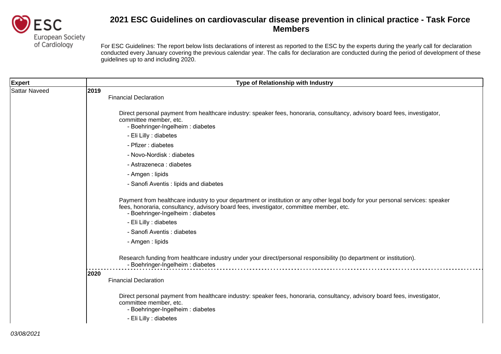

| <b>Expert</b>        | Type of Relationship with Industry                                                                                                                                                                                                                             |
|----------------------|----------------------------------------------------------------------------------------------------------------------------------------------------------------------------------------------------------------------------------------------------------------|
| <b>Sattar Naveed</b> | 2019<br><b>Financial Declaration</b>                                                                                                                                                                                                                           |
|                      | Direct personal payment from healthcare industry: speaker fees, honoraria, consultancy, advisory board fees, investigator,<br>committee member, etc.<br>- Boehringer-Ingelheim : diabetes                                                                      |
|                      | - Eli Lilly : diabetes                                                                                                                                                                                                                                         |
|                      | - Pfizer : diabetes                                                                                                                                                                                                                                            |
|                      | - Novo-Nordisk: diabetes                                                                                                                                                                                                                                       |
|                      | - Astrazeneca : diabetes                                                                                                                                                                                                                                       |
|                      | - Amgen : lipids                                                                                                                                                                                                                                               |
|                      | - Sanofi Aventis : lipids and diabetes                                                                                                                                                                                                                         |
|                      | Payment from healthcare industry to your department or institution or any other legal body for your personal services: speaker<br>fees, honoraria, consultancy, advisory board fees, investigator, committee member, etc.<br>- Boehringer-Ingelheim : diabetes |
|                      | - Eli Lilly : diabetes                                                                                                                                                                                                                                         |
|                      | - Sanofi Aventis : diabetes                                                                                                                                                                                                                                    |
|                      | - Amgen : lipids                                                                                                                                                                                                                                               |
|                      | Research funding from healthcare industry under your direct/personal responsibility (to department or institution).<br>- Boehringer-Ingelheim : diabetes                                                                                                       |
|                      | 2020<br><b>Financial Declaration</b>                                                                                                                                                                                                                           |
|                      | Direct personal payment from healthcare industry: speaker fees, honoraria, consultancy, advisory board fees, investigator,<br>committee member, etc.<br>- Boehringer-Ingelheim: diabetes<br>- Eli Lilly : diabetes                                             |
|                      |                                                                                                                                                                                                                                                                |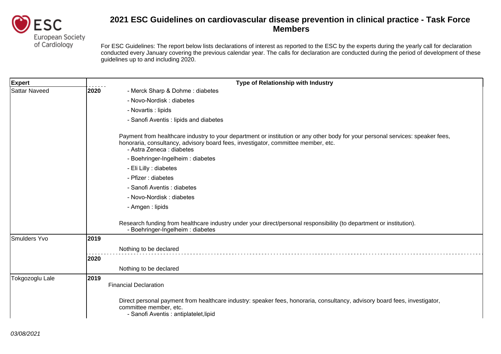

| <b>Expert</b>        | Type of Relationship with Industry                                                                                                                                                                                                               |  |
|----------------------|--------------------------------------------------------------------------------------------------------------------------------------------------------------------------------------------------------------------------------------------------|--|
| <b>Sattar Naveed</b> | 2020<br>- Merck Sharp & Dohme: diabetes                                                                                                                                                                                                          |  |
|                      | - Novo-Nordisk: diabetes                                                                                                                                                                                                                         |  |
|                      | - Novartis : lipids                                                                                                                                                                                                                              |  |
|                      | - Sanofi Aventis : lipids and diabetes                                                                                                                                                                                                           |  |
|                      | Payment from healthcare industry to your department or institution or any other body for your personal services: speaker fees,<br>honoraria, consultancy, advisory board fees, investigator, committee member, etc.<br>- Astra Zeneca : diabetes |  |
|                      | - Boehringer-Ingelheim: diabetes                                                                                                                                                                                                                 |  |
|                      | - Eli Lilly : diabetes                                                                                                                                                                                                                           |  |
|                      | - Pfizer : diabetes                                                                                                                                                                                                                              |  |
|                      | - Sanofi Aventis : diabetes                                                                                                                                                                                                                      |  |
|                      | - Novo-Nordisk : diabetes                                                                                                                                                                                                                        |  |
|                      | - Amgen : lipids                                                                                                                                                                                                                                 |  |
|                      | Research funding from healthcare industry under your direct/personal responsibility (to department or institution).<br>- Boehringer-Ingelheim: diabetes                                                                                          |  |
| Smulders Yvo         | 2019                                                                                                                                                                                                                                             |  |
|                      | Nothing to be declared                                                                                                                                                                                                                           |  |
|                      | 2020                                                                                                                                                                                                                                             |  |
|                      | Nothing to be declared                                                                                                                                                                                                                           |  |
| Tokgozoglu Lale      | 2019<br><b>Financial Declaration</b>                                                                                                                                                                                                             |  |
|                      | Direct personal payment from healthcare industry: speaker fees, honoraria, consultancy, advisory board fees, investigator,<br>committee member, etc.<br>- Sanofi Aventis : antiplatelet, lipid                                                   |  |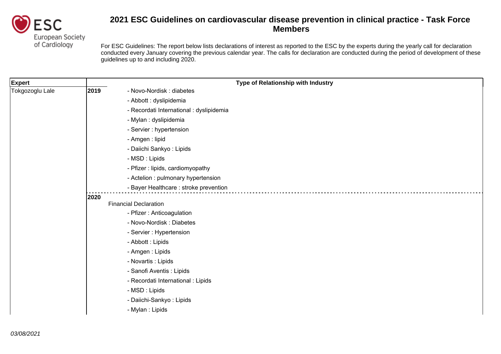

| <b>Expert</b>   |      | Type of Relationship with Industry       |
|-----------------|------|------------------------------------------|
| Tokgozoglu Lale | 2019 | - Novo-Nordisk: diabetes                 |
|                 |      | - Abbott : dyslipidemia                  |
|                 |      | - Recordati International : dyslipidemia |
|                 |      | - Mylan : dyslipidemia                   |
|                 |      | - Servier : hypertension                 |
|                 |      | - Amgen : lipid                          |
|                 |      | - Daiichi Sankyo: Lipids                 |
|                 |      | - MSD : Lipids                           |
|                 |      | - Pfizer : lipids, cardiomyopathy        |
|                 |      | - Actelion : pulmonary hypertension      |
|                 |      | - Bayer Healthcare : stroke prevention   |
|                 | 2020 |                                          |
|                 |      | <b>Financial Declaration</b>             |
|                 |      | - Pfizer : Anticoagulation               |
|                 |      | - Novo-Nordisk: Diabetes                 |
|                 |      | - Servier : Hypertension                 |
|                 |      | - Abbott : Lipids                        |
|                 |      | - Amgen : Lipids                         |
|                 |      | - Novartis : Lipids                      |
|                 |      | - Sanofi Aventis : Lipids                |
|                 |      | - Recordati International : Lipids       |
|                 |      | - MSD : Lipids                           |
|                 |      | - Daiichi-Sankyo: Lipids                 |
|                 |      | - Mylan : Lipids                         |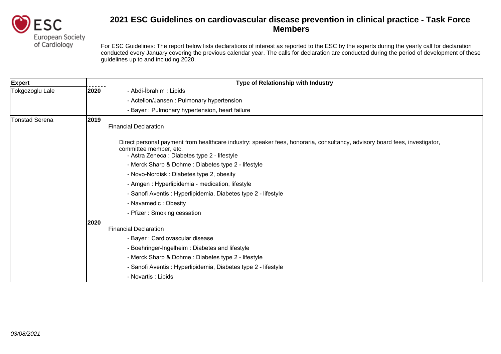

| <b>Expert</b>         | Type of Relationship with Industry                                                                                                                                                                   |  |
|-----------------------|------------------------------------------------------------------------------------------------------------------------------------------------------------------------------------------------------|--|
| Tokgozoglu Lale       | - Abdi-İbrahim : Lipids<br>2020                                                                                                                                                                      |  |
|                       | - Actelion/Jansen: Pulmonary hypertension                                                                                                                                                            |  |
|                       | - Bayer: Pulmonary hypertension, heart failure                                                                                                                                                       |  |
| <b>Tonstad Serena</b> | 2019<br><b>Financial Declaration</b>                                                                                                                                                                 |  |
|                       | Direct personal payment from healthcare industry: speaker fees, honoraria, consultancy, advisory board fees, investigator,<br>committee member, etc.<br>- Astra Zeneca : Diabetes type 2 - lifestyle |  |
|                       | - Merck Sharp & Dohme: Diabetes type 2 - lifestyle                                                                                                                                                   |  |
|                       | - Novo-Nordisk : Diabetes type 2, obesity                                                                                                                                                            |  |
|                       | - Amgen : Hyperlipidemia - medication, lifestyle                                                                                                                                                     |  |
|                       | - Sanofi Aventis : Hyperlipidemia, Diabetes type 2 - lifestyle                                                                                                                                       |  |
|                       | - Navamedic: Obesity                                                                                                                                                                                 |  |
|                       | - Pfizer: Smoking cessation                                                                                                                                                                          |  |
|                       | 2020                                                                                                                                                                                                 |  |
|                       | <b>Financial Declaration</b>                                                                                                                                                                         |  |
|                       | - Bayer: Cardiovascular disease                                                                                                                                                                      |  |
|                       | - Boehringer-Ingelheim: Diabetes and lifestyle                                                                                                                                                       |  |
|                       | - Merck Sharp & Dohme: Diabetes type 2 - lifestyle                                                                                                                                                   |  |
|                       | - Sanofi Aventis : Hyperlipidemia, Diabetes type 2 - lifestyle                                                                                                                                       |  |
|                       | - Novartis : Lipids                                                                                                                                                                                  |  |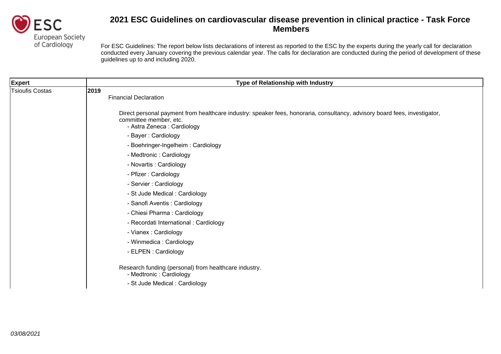

| <b>Expert</b>          | Type of Relationship with Industry                                                                                                                                                  |
|------------------------|-------------------------------------------------------------------------------------------------------------------------------------------------------------------------------------|
| <b>Tsioufis Costas</b> | 2019<br><b>Financial Declaration</b>                                                                                                                                                |
|                        | Direct personal payment from healthcare industry: speaker fees, honoraria, consultancy, advisory board fees, investigator,<br>committee member, etc.<br>- Astra Zeneca : Cardiology |
|                        | - Bayer: Cardiology                                                                                                                                                                 |
|                        | - Boehringer-Ingelheim: Cardiology                                                                                                                                                  |
|                        | - Medtronic : Cardiology                                                                                                                                                            |
|                        | - Novartis : Cardiology                                                                                                                                                             |
|                        | - Pfizer: Cardiology                                                                                                                                                                |
|                        | - Servier : Cardiology                                                                                                                                                              |
|                        | - St Jude Medical : Cardiology                                                                                                                                                      |
|                        | - Sanofi Aventis : Cardiology                                                                                                                                                       |
|                        | - Chiesi Pharma: Cardiology                                                                                                                                                         |
|                        | - Recordati International : Cardiology                                                                                                                                              |
|                        | - Vianex : Cardiology                                                                                                                                                               |
|                        | - Winmedica : Cardiology                                                                                                                                                            |
|                        | - ELPEN : Cardiology                                                                                                                                                                |
|                        | Research funding (personal) from healthcare industry.<br>- Medtronic : Cardiology                                                                                                   |
|                        | - St Jude Medical: Cardiology                                                                                                                                                       |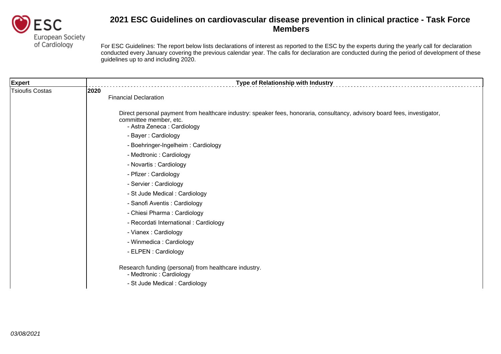

| Expert                 | Type of Relationship with Industry                                                                                                                                                  |
|------------------------|-------------------------------------------------------------------------------------------------------------------------------------------------------------------------------------|
| <b>Tsioufis Costas</b> | 2020<br><b>Financial Declaration</b>                                                                                                                                                |
|                        | Direct personal payment from healthcare industry: speaker fees, honoraria, consultancy, advisory board fees, investigator,<br>committee member, etc.<br>- Astra Zeneca : Cardiology |
|                        | - Bayer: Cardiology                                                                                                                                                                 |
|                        | - Boehringer-Ingelheim: Cardiology                                                                                                                                                  |
|                        | - Medtronic : Cardiology                                                                                                                                                            |
|                        | - Novartis : Cardiology                                                                                                                                                             |
|                        | - Pfizer: Cardiology                                                                                                                                                                |
|                        | - Servier : Cardiology                                                                                                                                                              |
|                        | - St Jude Medical: Cardiology                                                                                                                                                       |
|                        | - Sanofi Aventis : Cardiology                                                                                                                                                       |
|                        | - Chiesi Pharma: Cardiology                                                                                                                                                         |
|                        | - Recordati International : Cardiology                                                                                                                                              |
|                        | - Vianex: Cardiology                                                                                                                                                                |
|                        | - Winmedica : Cardiology                                                                                                                                                            |
|                        | - ELPEN : Cardiology                                                                                                                                                                |
|                        | Research funding (personal) from healthcare industry.<br>- Medtronic : Cardiology                                                                                                   |
|                        | - St Jude Medical : Cardiology                                                                                                                                                      |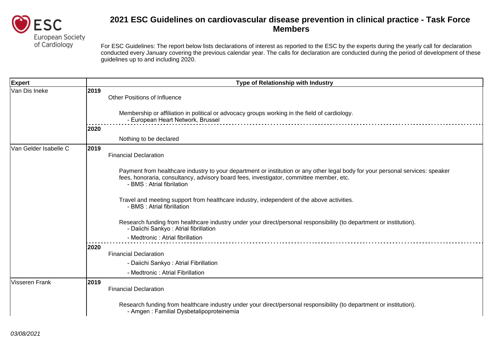

| Expert                |      | Type of Relationship with Industry                                                                                                                                                                                                                      |
|-----------------------|------|---------------------------------------------------------------------------------------------------------------------------------------------------------------------------------------------------------------------------------------------------------|
| Van Dis Ineke         | 2019 | <b>Other Positions of Influence</b><br>Membership or affiliation in political or advocacy groups working in the field of cardiology.<br>- European Heart Network, Brussel                                                                               |
|                       | 2020 |                                                                                                                                                                                                                                                         |
|                       |      | Nothing to be declared                                                                                                                                                                                                                                  |
| Van Gelder Isabelle C | 2019 | <b>Financial Declaration</b>                                                                                                                                                                                                                            |
|                       |      | Payment from healthcare industry to your department or institution or any other legal body for your personal services: speaker<br>fees, honoraria, consultancy, advisory board fees, investigator, committee member, etc.<br>- BMS : Atrial fibrilation |
|                       |      | Travel and meeting support from healthcare industry, independent of the above activities.<br>- BMS : Atrial fibrillation                                                                                                                                |
|                       |      | Research funding from healthcare industry under your direct/personal responsibility (to department or institution).<br>- Daiichi Sankyo: Atrial fibrillation                                                                                            |
|                       |      | - Medtronic : Atrial fibrillation                                                                                                                                                                                                                       |
|                       | 2020 |                                                                                                                                                                                                                                                         |
|                       |      | <b>Financial Declaration</b><br>- Daiichi Sankyo: Atrial Fibrillation                                                                                                                                                                                   |
|                       |      | - Medtronic: Atrial Fibrillation                                                                                                                                                                                                                        |
| Visseren Frank        | 2019 | <b>Financial Declaration</b>                                                                                                                                                                                                                            |
|                       |      | Research funding from healthcare industry under your direct/personal responsibility (to department or institution).<br>- Amgen : Familial Dysbetalipoproteinemia                                                                                        |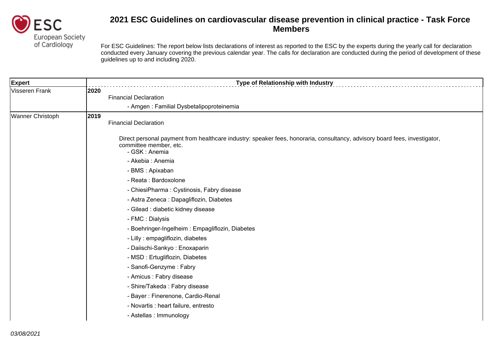

| <b>Expert</b>    |      | Type of Relationship with Industry                                                                                                                                     |
|------------------|------|------------------------------------------------------------------------------------------------------------------------------------------------------------------------|
| Visseren Frank   | 2020 |                                                                                                                                                                        |
|                  |      | <b>Financial Declaration</b>                                                                                                                                           |
|                  |      | - Amgen: Familial Dysbetalipoproteinemia                                                                                                                               |
| Wanner Christoph | 2019 | <b>Financial Declaration</b>                                                                                                                                           |
|                  |      | Direct personal payment from healthcare industry: speaker fees, honoraria, consultancy, advisory board fees, investigator,<br>committee member, etc.<br>- GSK : Anemia |
|                  |      | - Akebia : Anemia                                                                                                                                                      |
|                  |      | - BMS : Apixaban                                                                                                                                                       |
|                  |      | - Reata : Bardoxolone                                                                                                                                                  |
|                  |      | - ChiesiPharma: Cystinosis, Fabry disease                                                                                                                              |
|                  |      | - Astra Zeneca : Dapagliflozin, Diabetes                                                                                                                               |
|                  |      | - Gilead : diabetic kidney disease                                                                                                                                     |
|                  |      | - FMC : Dialysis                                                                                                                                                       |
|                  |      | - Boehringer-Ingelheim: Empagliflozin, Diabetes                                                                                                                        |
|                  |      | - Lilly : empagliflozin, diabetes                                                                                                                                      |
|                  |      | - Daiischi-Sankyo: Enoxaparin                                                                                                                                          |
|                  |      | - MSD : Ertugliflozin, Diabetes                                                                                                                                        |
|                  |      | - Sanofi-Genzyme: Fabry                                                                                                                                                |
|                  |      | - Amicus : Fabry disease                                                                                                                                               |
|                  |      | - Shire/Takeda: Fabry disease                                                                                                                                          |
|                  |      | - Bayer: Finerenone, Cardio-Renal                                                                                                                                      |
|                  |      | - Novartis : heart failure, entresto                                                                                                                                   |
|                  |      | - Astellas : Immunology                                                                                                                                                |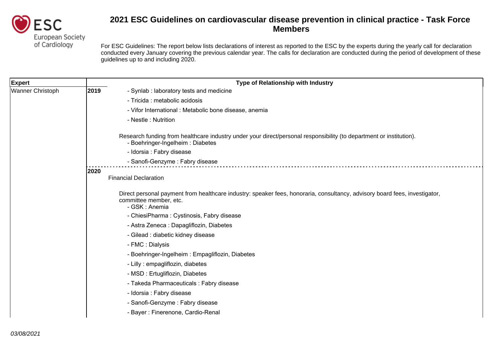

| <b>Expert</b>    | Type of Relationship with Industry                                                                                                                                     |  |
|------------------|------------------------------------------------------------------------------------------------------------------------------------------------------------------------|--|
| Wanner Christoph | 2019<br>- Synlab : laboratory tests and medicine                                                                                                                       |  |
|                  | - Tricida : metabolic acidosis                                                                                                                                         |  |
|                  | - Vifor International : Metabolic bone disease, anemia                                                                                                                 |  |
|                  | - Nestle: Nutrition                                                                                                                                                    |  |
|                  | Research funding from healthcare industry under your direct/personal responsibility (to department or institution).<br>- Boehringer-Ingelheim: Diabetes                |  |
|                  | - Idorsia : Fabry disease                                                                                                                                              |  |
|                  | - Sanofi-Genzyme: Fabry disease                                                                                                                                        |  |
|                  | 2020<br><b>Financial Declaration</b>                                                                                                                                   |  |
|                  | Direct personal payment from healthcare industry: speaker fees, honoraria, consultancy, advisory board fees, investigator,<br>committee member, etc.<br>- GSK : Anemia |  |
|                  | - ChiesiPharma: Cystinosis, Fabry disease                                                                                                                              |  |
|                  | - Astra Zeneca : Dapagliflozin, Diabetes                                                                                                                               |  |
|                  | - Gilead : diabetic kidney disease                                                                                                                                     |  |
|                  | - FMC : Dialysis                                                                                                                                                       |  |
|                  | - Boehringer-Ingelheim: Empagliflozin, Diabetes                                                                                                                        |  |
|                  | - Lilly : empagliflozin, diabetes                                                                                                                                      |  |
|                  | - MSD: Ertugliflozin, Diabetes                                                                                                                                         |  |
|                  | - Takeda Pharmaceuticals : Fabry disease                                                                                                                               |  |
|                  | - Idorsia : Fabry disease                                                                                                                                              |  |
|                  | - Sanofi-Genzyme: Fabry disease                                                                                                                                        |  |
|                  | - Bayer: Finerenone, Cardio-Renal                                                                                                                                      |  |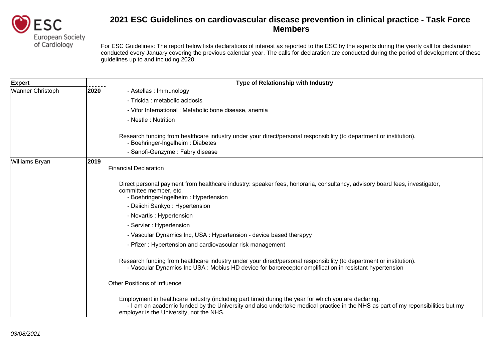

| <b>Expert</b>           | <b>Type of Relationship with Industry</b>                                                                                                                                                                                                                                           |
|-------------------------|-------------------------------------------------------------------------------------------------------------------------------------------------------------------------------------------------------------------------------------------------------------------------------------|
| <b>Wanner Christoph</b> | 2020<br>- Astellas : Immunology                                                                                                                                                                                                                                                     |
|                         | - Tricida : metabolic acidosis                                                                                                                                                                                                                                                      |
|                         | - Vifor International : Metabolic bone disease, anemia                                                                                                                                                                                                                              |
|                         | - Nestle: Nutrition                                                                                                                                                                                                                                                                 |
|                         | Research funding from healthcare industry under your direct/personal responsibility (to department or institution).<br>- Boehringer-Ingelheim: Diabetes                                                                                                                             |
|                         | - Sanofi-Genzyme: Fabry disease                                                                                                                                                                                                                                                     |
| Williams Bryan          | 2019<br><b>Financial Declaration</b>                                                                                                                                                                                                                                                |
|                         | Direct personal payment from healthcare industry: speaker fees, honoraria, consultancy, advisory board fees, investigator,<br>committee member, etc.<br>- Boehringer-Ingelheim: Hypertension                                                                                        |
|                         | - Daiichi Sankyo: Hypertension                                                                                                                                                                                                                                                      |
|                         | - Novartis : Hypertension                                                                                                                                                                                                                                                           |
|                         | - Servier : Hypertension                                                                                                                                                                                                                                                            |
|                         | - Vascular Dynamics Inc, USA : Hypertension - device based therapyy                                                                                                                                                                                                                 |
|                         | - Pfizer: Hypertension and cardiovascular risk management                                                                                                                                                                                                                           |
|                         | Research funding from healthcare industry under your direct/personal responsibility (to department or institution).<br>- Vascular Dynamics Inc USA : Mobius HD device for baroreceptor amplification in resistant hypertension                                                      |
|                         | <b>Other Positions of Influence</b>                                                                                                                                                                                                                                                 |
|                         | Employment in healthcare industry (including part time) during the year for which you are declaring.<br>- I am an academic funded by the University and also undertake medical practice in the NHS as part of my reponsibilities but my<br>employer is the University, not the NHS. |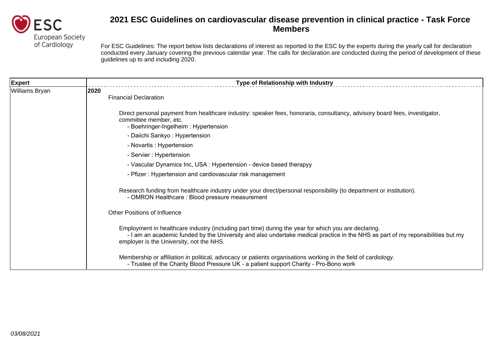

| <b>Expert</b>  | Type of Relationship with Industry                                                                                                                                                                                                                                                  |
|----------------|-------------------------------------------------------------------------------------------------------------------------------------------------------------------------------------------------------------------------------------------------------------------------------------|
| Williams Bryan | 2020<br><b>Financial Declaration</b>                                                                                                                                                                                                                                                |
|                | Direct personal payment from healthcare industry: speaker fees, honoraria, consultancy, advisory board fees, investigator,<br>committee member, etc.<br>- Boehringer-Ingelheim: Hypertension                                                                                        |
|                | - Daiichi Sankyo: Hypertension                                                                                                                                                                                                                                                      |
|                | - Novartis : Hypertension                                                                                                                                                                                                                                                           |
|                | - Servier : Hypertension                                                                                                                                                                                                                                                            |
|                | - Vascular Dynamics Inc, USA : Hypertension - device based therapyy                                                                                                                                                                                                                 |
|                | - Pfizer: Hypertension and cardiovascular risk management                                                                                                                                                                                                                           |
|                | Research funding from healthcare industry under your direct/personal responsibility (to department or institution).<br>- OMRON Healthcare: Blood pressure measurement                                                                                                               |
|                | <b>Other Positions of Influence</b>                                                                                                                                                                                                                                                 |
|                | Employment in healthcare industry (including part time) during the year for which you are declaring.<br>- I am an academic funded by the University and also undertake medical practice in the NHS as part of my reponsibilities but my<br>employer is the University, not the NHS. |
|                | Membership or affiliation in political, advocacy or patients organisations working in the field of cardiology.<br>- Trustee of the Charity Blood Pressure UK - a patient support Charity - Pro-Bono work                                                                            |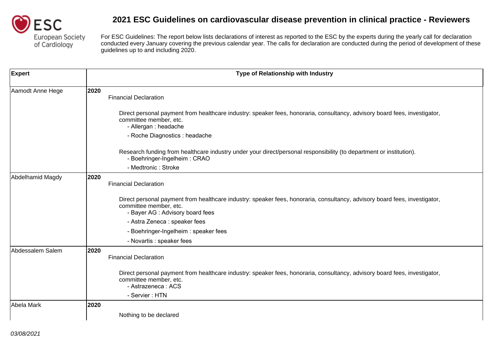

| <b>Expert</b>    | Type of Relationship with Industry                                                                                                                                                       |
|------------------|------------------------------------------------------------------------------------------------------------------------------------------------------------------------------------------|
| Aamodt Anne Hege | 2020<br><b>Financial Declaration</b>                                                                                                                                                     |
|                  | Direct personal payment from healthcare industry: speaker fees, honoraria, consultancy, advisory board fees, investigator,<br>committee member, etc.<br>- Allergan : headache            |
|                  | - Roche Diagnostics : headache                                                                                                                                                           |
|                  | Research funding from healthcare industry under your direct/personal responsibility (to department or institution).<br>- Boehringer-Ingelheim: CRAO                                      |
|                  | - Medtronic: Stroke                                                                                                                                                                      |
| Abdelhamid Magdy | 2020<br><b>Financial Declaration</b>                                                                                                                                                     |
|                  | Direct personal payment from healthcare industry: speaker fees, honoraria, consultancy, advisory board fees, investigator,<br>committee member, etc.<br>- Bayer AG : Advisory board fees |
|                  | - Astra Zeneca : speaker fees                                                                                                                                                            |
|                  | - Boehringer-Ingelheim: speaker fees                                                                                                                                                     |
|                  | - Novartis : speaker fees                                                                                                                                                                |
| Abdessalem Salem | 2020<br><b>Financial Declaration</b>                                                                                                                                                     |
|                  | Direct personal payment from healthcare industry: speaker fees, honoraria, consultancy, advisory board fees, investigator,<br>committee member, etc.<br>- Astrazeneca : ACS              |
|                  | - Servier: HTN                                                                                                                                                                           |
| Abela Mark       | 2020                                                                                                                                                                                     |
|                  | Nothing to be declared                                                                                                                                                                   |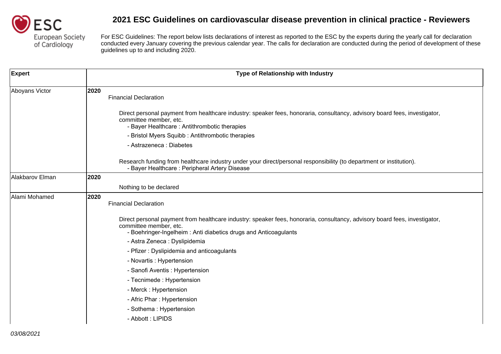

| Expert          |      | Type of Relationship with Industry                                                                                                                                                                                      |
|-----------------|------|-------------------------------------------------------------------------------------------------------------------------------------------------------------------------------------------------------------------------|
| Aboyans Victor  | 2020 | <b>Financial Declaration</b>                                                                                                                                                                                            |
|                 |      | Direct personal payment from healthcare industry: speaker fees, honoraria, consultancy, advisory board fees, investigator,<br>committee member, etc.<br>- Bayer Healthcare: Antithrombotic therapies                    |
|                 |      | - Bristol Myers Squibb: Antithrombotic therapies                                                                                                                                                                        |
|                 |      | - Astrazeneca : Diabetes                                                                                                                                                                                                |
|                 |      | Research funding from healthcare industry under your direct/personal responsibility (to department or institution).<br>- Bayer Healthcare: Peripheral Artery Disease                                                    |
| Alakbarov Elman | 2020 |                                                                                                                                                                                                                         |
|                 |      | Nothing to be declared                                                                                                                                                                                                  |
| Alami Mohamed   | 2020 | <b>Financial Declaration</b>                                                                                                                                                                                            |
|                 |      | Direct personal payment from healthcare industry: speaker fees, honoraria, consultancy, advisory board fees, investigator,<br>committee member, etc.<br>- Boehringer-Ingelheim: Anti diabetics drugs and Anticoagulants |
|                 |      | - Astra Zeneca : Dyslipidemia                                                                                                                                                                                           |
|                 |      | - Pfizer: Dyslipidemia and anticoagulants                                                                                                                                                                               |
|                 |      | - Novartis : Hypertension                                                                                                                                                                                               |
|                 |      | - Sanofi Aventis : Hypertension                                                                                                                                                                                         |
|                 |      | - Tecnimede: Hypertension                                                                                                                                                                                               |
|                 |      | - Merck: Hypertension                                                                                                                                                                                                   |
|                 |      | - Afric Phar: Hypertension                                                                                                                                                                                              |
|                 |      | - Sothema: Hypertension                                                                                                                                                                                                 |
|                 |      | - Abbott: LIPIDS                                                                                                                                                                                                        |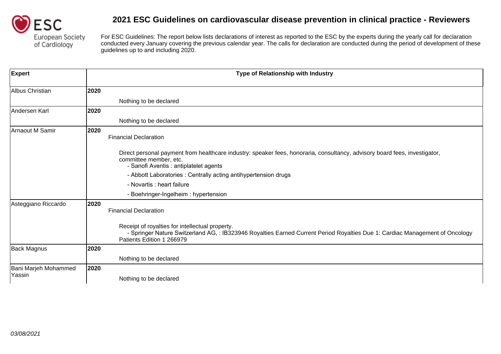

| <b>Expert</b>                  |      | Type of Relationship with Industry                                                                                                                                                                           |
|--------------------------------|------|--------------------------------------------------------------------------------------------------------------------------------------------------------------------------------------------------------------|
| Albus Christian                | 2020 |                                                                                                                                                                                                              |
|                                |      | Nothing to be declared                                                                                                                                                                                       |
| Andersen Karl                  | 2020 |                                                                                                                                                                                                              |
|                                |      | Nothing to be declared                                                                                                                                                                                       |
| <b>Arnaout M Samir</b>         | 2020 | <b>Financial Declaration</b>                                                                                                                                                                                 |
|                                |      | Direct personal payment from healthcare industry: speaker fees, honoraria, consultancy, advisory board fees, investigator,<br>committee member, etc.<br>- Sanofi Aventis : antiplatelet agents               |
|                                |      | - Abbott Laboratories: Centrally acting antihypertension drugs                                                                                                                                               |
|                                |      | - Novartis : heart failure                                                                                                                                                                                   |
|                                |      | - Boehringer-Ingelheim: hypertension                                                                                                                                                                         |
| Asteggiano Riccardo            | 2020 | <b>Financial Declaration</b>                                                                                                                                                                                 |
|                                |      | Receipt of royalties for intellectual property.<br>- Springer Nature Switzerland AG, : IB323946 Royalties Earned Current Period Royalties Due 1: Cardiac Management of Oncology<br>Patients Edition 1 266979 |
| <b>Back Magnus</b>             | 2020 |                                                                                                                                                                                                              |
|                                |      | Nothing to be declared                                                                                                                                                                                       |
| Bani Marjeh Mohammed<br>Yassin | 2020 |                                                                                                                                                                                                              |
|                                |      | Nothing to be declared                                                                                                                                                                                       |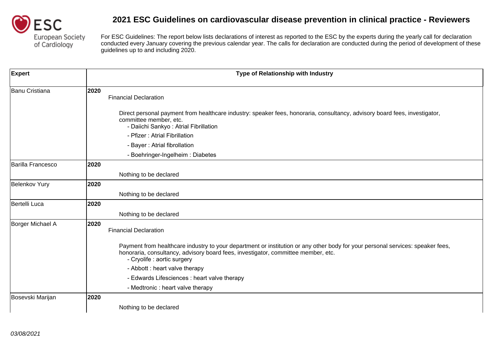

| <b>Expert</b>            |      | Type of Relationship with Industry                                                                                                                                                                                                                 |
|--------------------------|------|----------------------------------------------------------------------------------------------------------------------------------------------------------------------------------------------------------------------------------------------------|
| <b>Banu Cristiana</b>    | 2020 | <b>Financial Declaration</b>                                                                                                                                                                                                                       |
|                          |      | Direct personal payment from healthcare industry: speaker fees, honoraria, consultancy, advisory board fees, investigator,<br>committee member, etc.<br>- Daiichi Sankyo: Atrial Fibrillation                                                      |
|                          |      | - Pfizer: Atrial Fibrillation                                                                                                                                                                                                                      |
|                          |      | - Bayer: Atrial fibrollation                                                                                                                                                                                                                       |
|                          |      | - Boehringer-Ingelheim: Diabetes                                                                                                                                                                                                                   |
| <b>Barilla Francesco</b> | 2020 |                                                                                                                                                                                                                                                    |
|                          |      | Nothing to be declared                                                                                                                                                                                                                             |
| <b>Belenkov Yury</b>     | 2020 |                                                                                                                                                                                                                                                    |
|                          |      | Nothing to be declared                                                                                                                                                                                                                             |
| Bertelli Luca            | 2020 |                                                                                                                                                                                                                                                    |
|                          |      | Nothing to be declared                                                                                                                                                                                                                             |
| Borger Michael A         | 2020 | <b>Financial Declaration</b>                                                                                                                                                                                                                       |
|                          |      | Payment from healthcare industry to your department or institution or any other body for your personal services: speaker fees,<br>honoraria, consultancy, advisory board fees, investigator, committee member, etc.<br>- Cryolife : aortic surgery |
|                          |      | - Abbott : heart valve therapy                                                                                                                                                                                                                     |
|                          |      | - Edwards Lifesciences : heart valve therapy                                                                                                                                                                                                       |
|                          |      | - Medtronic : heart valve therapy                                                                                                                                                                                                                  |
| Bosevski Marijan         | 2020 |                                                                                                                                                                                                                                                    |
|                          |      | Nothing to be declared                                                                                                                                                                                                                             |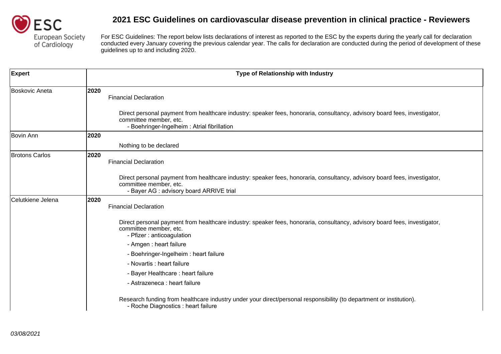

| <b>Expert</b>         | Type of Relationship with Industry                                                                                                                                                                  |
|-----------------------|-----------------------------------------------------------------------------------------------------------------------------------------------------------------------------------------------------|
| Boskovic Aneta        | 2020<br><b>Financial Declaration</b>                                                                                                                                                                |
|                       | Direct personal payment from healthcare industry: speaker fees, honoraria, consultancy, advisory board fees, investigator,<br>committee member, etc.<br>- Boehringer-Ingelheim: Atrial fibrillation |
| Bovin Ann             | 2020                                                                                                                                                                                                |
|                       | Nothing to be declared                                                                                                                                                                              |
| <b>Brotons Carlos</b> | 2020<br><b>Financial Declaration</b>                                                                                                                                                                |
|                       | Direct personal payment from healthcare industry: speaker fees, honoraria, consultancy, advisory board fees, investigator,<br>committee member, etc.<br>- Bayer AG : advisory board ARRIVE trial    |
| Celutkiene Jelena     | 2020<br><b>Financial Declaration</b>                                                                                                                                                                |
|                       | Direct personal payment from healthcare industry: speaker fees, honoraria, consultancy, advisory board fees, investigator,<br>committee member, etc.<br>- Pfizer : anticoagulation                  |
|                       | - Amgen : heart failure                                                                                                                                                                             |
|                       | - Boehringer-Ingelheim: heart failure                                                                                                                                                               |
|                       | - Novartis : heart failure                                                                                                                                                                          |
|                       | - Bayer Healthcare: heart failure                                                                                                                                                                   |
|                       | - Astrazeneca : heart failure                                                                                                                                                                       |
|                       | Research funding from healthcare industry under your direct/personal responsibility (to department or institution).<br>- Roche Diagnostics : heart failure                                          |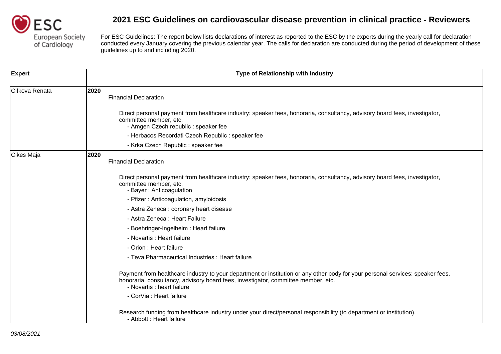

| <b>Expert</b>  | Type of Relationship with Industry                                                                                                                                                                                                                |
|----------------|---------------------------------------------------------------------------------------------------------------------------------------------------------------------------------------------------------------------------------------------------|
| Cifkova Renata | 2020<br><b>Financial Declaration</b>                                                                                                                                                                                                              |
|                | Direct personal payment from healthcare industry: speaker fees, honoraria, consultancy, advisory board fees, investigator,<br>committee member, etc.<br>- Amgen Czech republic : speaker fee                                                      |
|                | - Herbacos Recordati Czech Republic : speaker fee                                                                                                                                                                                                 |
|                | - Krka Czech Republic : speaker fee                                                                                                                                                                                                               |
| Cikes Maja     | 2020<br><b>Financial Declaration</b>                                                                                                                                                                                                              |
|                | Direct personal payment from healthcare industry: speaker fees, honoraria, consultancy, advisory board fees, investigator,<br>committee member, etc.<br>- Bayer: Anticoagulation                                                                  |
|                | - Pfizer: Anticoagulation, amyloidosis                                                                                                                                                                                                            |
|                | - Astra Zeneca : coronary heart disease                                                                                                                                                                                                           |
|                | - Astra Zeneca : Heart Failure                                                                                                                                                                                                                    |
|                | - Boehringer-Ingelheim: Heart failure                                                                                                                                                                                                             |
|                | - Novartis : Heart failure                                                                                                                                                                                                                        |
|                | - Orion : Heart failure                                                                                                                                                                                                                           |
|                | - Teva Pharmaceutical Industries : Heart failure                                                                                                                                                                                                  |
|                | Payment from healthcare industry to your department or institution or any other body for your personal services: speaker fees,<br>honoraria, consultancy, advisory board fees, investigator, committee member, etc.<br>- Novartis : heart failure |
|                | - CorVia : Heart failure                                                                                                                                                                                                                          |
|                | Research funding from healthcare industry under your direct/personal responsibility (to department or institution).<br>- Abbott : Heart failure                                                                                                   |
| 03/08/2021     |                                                                                                                                                                                                                                                   |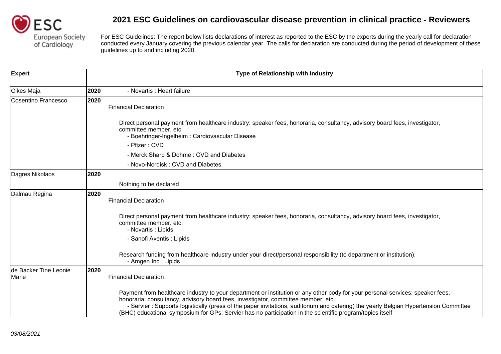

| <b>Expert</b>                  |      | Type of Relationship with Industry                                                                                                                                                                                                                                                                                                                                                                                                                                       |
|--------------------------------|------|--------------------------------------------------------------------------------------------------------------------------------------------------------------------------------------------------------------------------------------------------------------------------------------------------------------------------------------------------------------------------------------------------------------------------------------------------------------------------|
| Cikes Maja                     | 2020 | - Novartis : Heart failure                                                                                                                                                                                                                                                                                                                                                                                                                                               |
| Cosentino Francesco            | 2020 | <b>Financial Declaration</b>                                                                                                                                                                                                                                                                                                                                                                                                                                             |
|                                |      | Direct personal payment from healthcare industry: speaker fees, honoraria, consultancy, advisory board fees, investigator,<br>committee member, etc.<br>- Boehringer-Ingelheim: Cardiovascular Disease                                                                                                                                                                                                                                                                   |
|                                |      | - Pfizer: CVD                                                                                                                                                                                                                                                                                                                                                                                                                                                            |
|                                |      | - Merck Sharp & Dohme: CVD and Diabetes                                                                                                                                                                                                                                                                                                                                                                                                                                  |
|                                |      | - Novo-Nordisk: CVD and Diabetes                                                                                                                                                                                                                                                                                                                                                                                                                                         |
| Dagres Nikolaos                | 2020 |                                                                                                                                                                                                                                                                                                                                                                                                                                                                          |
|                                |      | Nothing to be declared                                                                                                                                                                                                                                                                                                                                                                                                                                                   |
| Dalmau Regina                  | 2020 | <b>Financial Declaration</b>                                                                                                                                                                                                                                                                                                                                                                                                                                             |
|                                |      | Direct personal payment from healthcare industry: speaker fees, honoraria, consultancy, advisory board fees, investigator,<br>committee member, etc.<br>- Novartis : Lipids                                                                                                                                                                                                                                                                                              |
|                                |      | - Sanofi Aventis : Lipids                                                                                                                                                                                                                                                                                                                                                                                                                                                |
|                                |      | Research funding from healthcare industry under your direct/personal responsibility (to department or institution).<br>- Amgen Inc : Lipids                                                                                                                                                                                                                                                                                                                              |
| de Backer Tine Leonie<br>Marie | 2020 | <b>Financial Declaration</b>                                                                                                                                                                                                                                                                                                                                                                                                                                             |
|                                |      | Payment from healthcare industry to your department or institution or any other body for your personal services: speaker fees,<br>honoraria, consultancy, advisory board fees, investigator, committee member, etc.<br>- Servier: Supports logistically (press of the paper invitations, auditorium and catering) the yearly Belgian Hypertension Committee<br>(BHC) educational symposium for GPs; Servier has no participation in the scientific program/topics itself |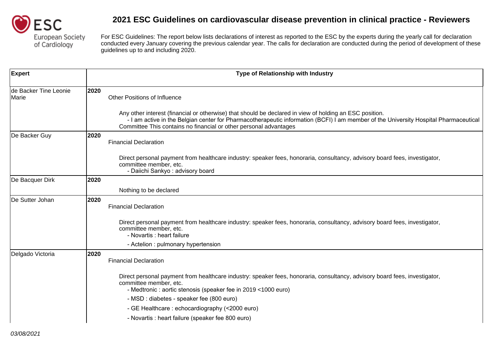

| <b>Expert</b>                  |      | Type of Relationship with Industry                                                                                                                                                                                                                                                                                   |
|--------------------------------|------|----------------------------------------------------------------------------------------------------------------------------------------------------------------------------------------------------------------------------------------------------------------------------------------------------------------------|
| de Backer Tine Leonie<br>Marie | 2020 | <b>Other Positions of Influence</b>                                                                                                                                                                                                                                                                                  |
|                                |      | Any other interest (financial or otherwise) that should be declared in view of holding an ESC position.<br>- I am active in the Belgian center for Pharmacotherapeutic information (BCFI) I am member of the University Hospital Pharmaceutical<br>Committee This contains no financial or other personal advantages |
| De Backer Guy                  | 2020 | <b>Financial Declaration</b>                                                                                                                                                                                                                                                                                         |
|                                |      | Direct personal payment from healthcare industry: speaker fees, honoraria, consultancy, advisory board fees, investigator,<br>committee member, etc.<br>- Daiichi Sankyo: advisory board                                                                                                                             |
| De Bacquer Dirk                | 2020 |                                                                                                                                                                                                                                                                                                                      |
|                                |      | Nothing to be declared                                                                                                                                                                                                                                                                                               |
| De Sutter Johan                | 2020 | <b>Financial Declaration</b>                                                                                                                                                                                                                                                                                         |
|                                |      | Direct personal payment from healthcare industry: speaker fees, honoraria, consultancy, advisory board fees, investigator,<br>committee member, etc.<br>- Novartis : heart failure                                                                                                                                   |
|                                |      | - Actelion : pulmonary hypertension                                                                                                                                                                                                                                                                                  |
| Delgado Victoria               | 2020 | <b>Financial Declaration</b>                                                                                                                                                                                                                                                                                         |
|                                |      | Direct personal payment from healthcare industry: speaker fees, honoraria, consultancy, advisory board fees, investigator,<br>committee member, etc.<br>- Medtronic : aortic stenosis (speaker fee in 2019 < 1000 euro)                                                                                              |
|                                |      | - MSD : diabetes - speaker fee (800 euro)                                                                                                                                                                                                                                                                            |
|                                |      | - GE Healthcare: echocardiography (<2000 euro)                                                                                                                                                                                                                                                                       |
|                                |      | - Novartis : heart failure (speaker fee 800 euro)                                                                                                                                                                                                                                                                    |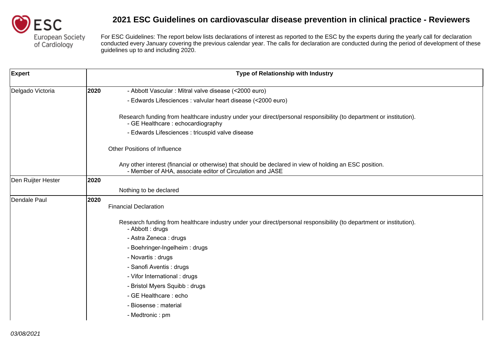

| <b>Expert</b>      |      | Type of Relationship with Industry                                                                                                                                   |
|--------------------|------|----------------------------------------------------------------------------------------------------------------------------------------------------------------------|
| Delgado Victoria   | 2020 | - Abbott Vascular : Mitral valve disease (<2000 euro)                                                                                                                |
|                    |      | - Edwards Lifesciences : valvular heart disease (<2000 euro)                                                                                                         |
|                    |      | Research funding from healthcare industry under your direct/personal responsibility (to department or institution).<br>- GE Healthcare: echocardiography             |
|                    |      | - Edwards Lifesciences : tricuspid valve disease                                                                                                                     |
|                    |      | <b>Other Positions of Influence</b>                                                                                                                                  |
|                    |      | Any other interest (financial or otherwise) that should be declared in view of holding an ESC position.<br>- Member of AHA, associate editor of Circulation and JASE |
| Den Ruijter Hester | 2020 |                                                                                                                                                                      |
|                    |      | Nothing to be declared                                                                                                                                               |
| Dendale Paul       | 2020 | <b>Financial Declaration</b>                                                                                                                                         |
|                    |      | Research funding from healthcare industry under your direct/personal responsibility (to department or institution).<br>- Abbott : drugs                              |
|                    |      | - Astra Zeneca : drugs                                                                                                                                               |
|                    |      | - Boehringer-Ingelheim: drugs                                                                                                                                        |
|                    |      | - Novartis : drugs                                                                                                                                                   |
|                    |      | - Sanofi Aventis : drugs                                                                                                                                             |
|                    |      | - Vifor International : drugs                                                                                                                                        |
|                    |      | - Bristol Myers Squibb: drugs                                                                                                                                        |
|                    |      | - GE Healthcare: echo                                                                                                                                                |
|                    |      | - Biosense : material                                                                                                                                                |
|                    |      | - Medtronic: pm                                                                                                                                                      |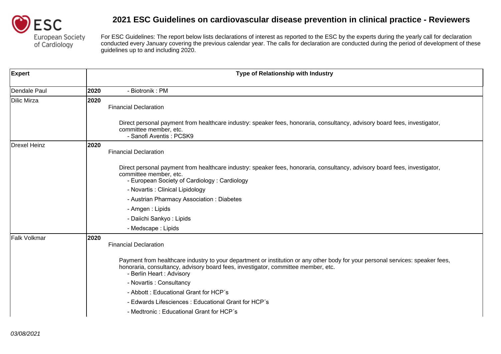

| <b>Expert</b> |      | Type of Relationship with Industry                                                                                                                                                                                                              |
|---------------|------|-------------------------------------------------------------------------------------------------------------------------------------------------------------------------------------------------------------------------------------------------|
| Dendale Paul  | 2020 | - Biotronik: PM                                                                                                                                                                                                                                 |
| Dilic Mirza   | 2020 | <b>Financial Declaration</b><br>Direct personal payment from healthcare industry: speaker fees, honoraria, consultancy, advisory board fees, investigator,<br>committee member, etc.                                                            |
|               |      | - Sanofi Aventis: PCSK9                                                                                                                                                                                                                         |
| Drexel Heinz  | 2020 | <b>Financial Declaration</b>                                                                                                                                                                                                                    |
|               |      | Direct personal payment from healthcare industry: speaker fees, honoraria, consultancy, advisory board fees, investigator,<br>committee member, etc.<br>- European Society of Cardiology: Cardiology                                            |
|               |      | - Novartis: Clinical Lipidology                                                                                                                                                                                                                 |
|               |      | - Austrian Pharmacy Association: Diabetes                                                                                                                                                                                                       |
|               |      | - Amgen : Lipids                                                                                                                                                                                                                                |
|               |      | - Daiichi Sankyo: Lipids                                                                                                                                                                                                                        |
|               |      | - Medscape : Lipids                                                                                                                                                                                                                             |
| Falk Volkmar  | 2020 | <b>Financial Declaration</b>                                                                                                                                                                                                                    |
|               |      | Payment from healthcare industry to your department or institution or any other body for your personal services: speaker fees,<br>honoraria, consultancy, advisory board fees, investigator, committee member, etc.<br>- Berlin Heart: Advisory |
|               |      | - Novartis: Consultancy                                                                                                                                                                                                                         |
|               |      | - Abbott: Educational Grant for HCP's                                                                                                                                                                                                           |
|               |      | - Edwards Lifesciences : Educational Grant for HCP's                                                                                                                                                                                            |
|               |      | - Medtronic: Educational Grant for HCP's                                                                                                                                                                                                        |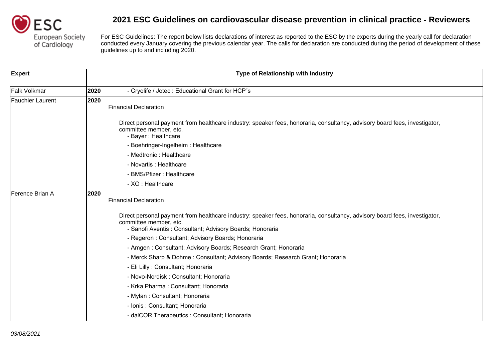

| <b>Expert</b>           |      | Type of Relationship with Industry                                                                                                                                                                               |
|-------------------------|------|------------------------------------------------------------------------------------------------------------------------------------------------------------------------------------------------------------------|
| <b>Falk Volkmar</b>     | 2020 | - Cryolife / Jotec : Educational Grant for HCP's                                                                                                                                                                 |
| <b>Fauchier Laurent</b> | 2020 | <b>Financial Declaration</b>                                                                                                                                                                                     |
|                         |      | Direct personal payment from healthcare industry: speaker fees, honoraria, consultancy, advisory board fees, investigator,<br>committee member, etc.<br>- Bayer : Healthcare                                     |
|                         |      | - Boehringer-Ingelheim: Healthcare                                                                                                                                                                               |
|                         |      | - Medtronic : Healthcare                                                                                                                                                                                         |
|                         |      | - Novartis : Healthcare                                                                                                                                                                                          |
|                         |      | - BMS/Pfizer: Healthcare                                                                                                                                                                                         |
|                         |      | - XO : Healthcare                                                                                                                                                                                                |
| Ference Brian A         | 2020 | <b>Financial Declaration</b>                                                                                                                                                                                     |
|                         |      | Direct personal payment from healthcare industry: speaker fees, honoraria, consultancy, advisory board fees, investigator,<br>committee member, etc.<br>- Sanofi Aventis: Consultant; Advisory Boards; Honoraria |
|                         |      | - Regeron: Consultant; Advisory Boards; Honoraria                                                                                                                                                                |
|                         |      | - Amgen: Consultant; Advisory Boards; Research Grant; Honoraria                                                                                                                                                  |
|                         |      | - Merck Sharp & Dohme: Consultant; Advisory Boards; Research Grant; Honoraria                                                                                                                                    |
|                         |      | - Eli Lilly : Consultant; Honoraria                                                                                                                                                                              |
|                         |      | - Novo-Nordisk: Consultant; Honoraria                                                                                                                                                                            |
|                         |      | - Krka Pharma: Consultant; Honoraria                                                                                                                                                                             |
|                         |      | - Mylan: Consultant; Honoraria                                                                                                                                                                                   |
|                         |      | - Ionis: Consultant; Honoraria                                                                                                                                                                                   |
|                         |      | - dalCOR Therapeutics : Consultant; Honoraria                                                                                                                                                                    |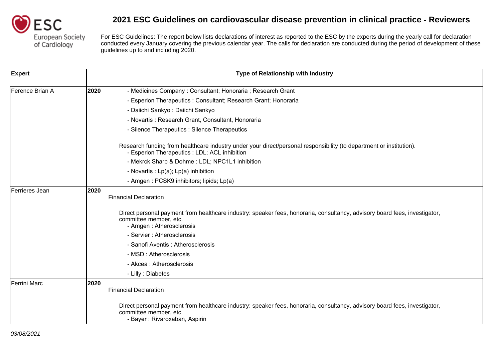

| <b>Expert</b>   |      | Type of Relationship with Industry                                                                                                                                                    |
|-----------------|------|---------------------------------------------------------------------------------------------------------------------------------------------------------------------------------------|
| Ference Brian A | 2020 | - Medicines Company: Consultant; Honoraria ; Research Grant                                                                                                                           |
|                 |      | - Esperion Therapeutics : Consultant; Research Grant; Honoraria                                                                                                                       |
|                 |      | - Daiichi Sankyo : Daiichi Sankyo                                                                                                                                                     |
|                 |      | - Novartis: Research Grant, Consultant, Honoraria                                                                                                                                     |
|                 |      | - Silence Therapeutics : Silence Therapeutics                                                                                                                                         |
|                 |      | Research funding from healthcare industry under your direct/personal responsibility (to department or institution).<br>- Esperion Therapeutics : LDL; ACL inhibition                  |
|                 |      | - Mekrck Sharp & Dohme: LDL; NPC1L1 inhibition                                                                                                                                        |
|                 |      | - Novartis : Lp(a); Lp(a) inhibition                                                                                                                                                  |
|                 |      | - Amgen: PCSK9 inhibitors; lipids; Lp(a)                                                                                                                                              |
| Ferrieres Jean  | 2020 | <b>Financial Declaration</b>                                                                                                                                                          |
|                 |      | Direct personal payment from healthcare industry: speaker fees, honoraria, consultancy, advisory board fees, investigator,<br>committee member, etc.<br>- Amgen: Atherosclerosis      |
|                 |      | - Servier : Atherosclerosis                                                                                                                                                           |
|                 |      | - Sanofi Aventis: Atherosclerosis                                                                                                                                                     |
|                 |      | - MSD : Atherosclerosis                                                                                                                                                               |
|                 |      | - Akcea: Atherosclerosis                                                                                                                                                              |
|                 |      | - Lilly : Diabetes                                                                                                                                                                    |
| Ferrini Marc    | 2020 | <b>Financial Declaration</b>                                                                                                                                                          |
|                 |      | Direct personal payment from healthcare industry: speaker fees, honoraria, consultancy, advisory board fees, investigator,<br>committee member, etc.<br>- Bayer: Rivaroxaban, Aspirin |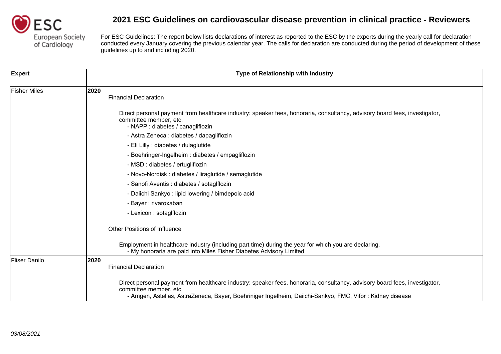

| <b>Expert</b>       | Type of Relationship with Industry                                                                                                                                                                                                                                |
|---------------------|-------------------------------------------------------------------------------------------------------------------------------------------------------------------------------------------------------------------------------------------------------------------|
| <b>Fisher Miles</b> | 2020<br><b>Financial Declaration</b>                                                                                                                                                                                                                              |
|                     | Direct personal payment from healthcare industry: speaker fees, honoraria, consultancy, advisory board fees, investigator,<br>committee member, etc.<br>- NAPP : diabetes / canagliflozin                                                                         |
|                     | - Astra Zeneca : diabetes / dapagliflozin                                                                                                                                                                                                                         |
|                     | - Eli Lilly : diabetes / dulaglutide                                                                                                                                                                                                                              |
|                     | - Boehringer-Ingelheim : diabetes / empagliflozin                                                                                                                                                                                                                 |
|                     | - MSD : diabetes / ertugliflozin                                                                                                                                                                                                                                  |
|                     | - Novo-Nordisk: diabetes / liraglutide / semaglutide                                                                                                                                                                                                              |
|                     | - Sanofi Aventis : diabetes / sotaglflozin                                                                                                                                                                                                                        |
|                     | - Daiichi Sankyo: lipid lowering / bimdepoic acid                                                                                                                                                                                                                 |
|                     | - Bayer : rivaroxaban                                                                                                                                                                                                                                             |
|                     | - Lexicon : sotaglflozin                                                                                                                                                                                                                                          |
|                     | <b>Other Positions of Influence</b>                                                                                                                                                                                                                               |
|                     | Employment in healthcare industry (including part time) during the year for which you are declaring.<br>- My honoraria are paid into Miles Fisher Diabetes Advisory Limited                                                                                       |
| Fliser Danilo       | 2020<br><b>Financial Declaration</b>                                                                                                                                                                                                                              |
|                     | Direct personal payment from healthcare industry: speaker fees, honoraria, consultancy, advisory board fees, investigator,<br>committee member, etc.<br>- Amgen, Astellas, AstraZeneca, Bayer, Boehriniger Ingelheim, Daiichi-Sankyo, FMC, Vifor : Kidney disease |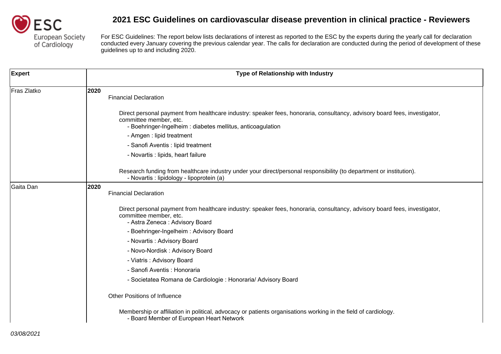

| <b>Expert</b> | Type of Relationship with Industry                                                                                                                                                                                  |
|---------------|---------------------------------------------------------------------------------------------------------------------------------------------------------------------------------------------------------------------|
| Fras Zlatko   | 2020<br><b>Financial Declaration</b>                                                                                                                                                                                |
|               | Direct personal payment from healthcare industry: speaker fees, honoraria, consultancy, advisory board fees, investigator,<br>committee member, etc.<br>- Boehringer-Ingelheim : diabetes mellitus, anticoagulation |
|               | - Amgen : lipid treatment                                                                                                                                                                                           |
|               | - Sanofi Aventis : lipid treatment                                                                                                                                                                                  |
|               | - Novartis : lipids, heart failure                                                                                                                                                                                  |
|               | Research funding from healthcare industry under your direct/personal responsibility (to department or institution).<br>- Novartis : lipidology - lipoprotein (a)                                                    |
| Gaita Dan     | 2020<br><b>Financial Declaration</b>                                                                                                                                                                                |
|               | Direct personal payment from healthcare industry: speaker fees, honoraria, consultancy, advisory board fees, investigator,<br>committee member, etc.<br>- Astra Zeneca: Advisory Board                              |
|               | - Boehringer-Ingelheim: Advisory Board                                                                                                                                                                              |
|               | - Novartis: Advisory Board                                                                                                                                                                                          |
|               | - Novo-Nordisk: Advisory Board                                                                                                                                                                                      |
|               | - Viatris: Advisory Board                                                                                                                                                                                           |
|               | - Sanofi Aventis : Honoraria                                                                                                                                                                                        |
|               | - Societatea Romana de Cardiologie : Honoraria/ Advisory Board                                                                                                                                                      |
|               | <b>Other Positions of Influence</b>                                                                                                                                                                                 |
|               | Membership or affiliation in political, advocacy or patients organisations working in the field of cardiology.<br>- Board Member of European Heart Network                                                          |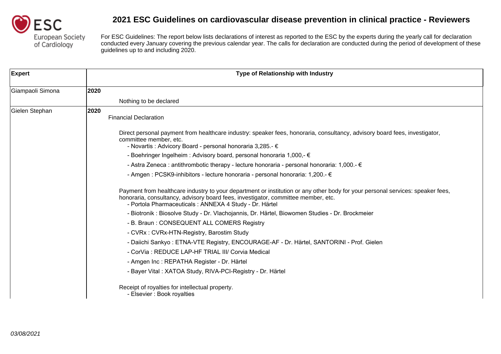

| <b>Expert</b>    |      | Type of Relationship with Industry                                                                                                                                                                                                                                             |
|------------------|------|--------------------------------------------------------------------------------------------------------------------------------------------------------------------------------------------------------------------------------------------------------------------------------|
| Giampaoli Simona | 2020 |                                                                                                                                                                                                                                                                                |
|                  |      | Nothing to be declared                                                                                                                                                                                                                                                         |
| Gielen Stephan   | 2020 | <b>Financial Declaration</b>                                                                                                                                                                                                                                                   |
|                  |      | Direct personal payment from healthcare industry: speaker fees, honoraria, consultancy, advisory board fees, investigator,<br>committee member, etc.                                                                                                                           |
|                  |      | - Novartis : Advicory Board - personal honoraria 3,285.- €<br>- Boehringer Ingelheim : Advisory board, personal honoraria 1,000,- €                                                                                                                                            |
|                  |      | - Astra Zeneca : antithrombotic therapy - lecture honoraria - personal honoraria: 1,000.- €                                                                                                                                                                                    |
|                  |      | - Amgen : PCSK9-inhibitors - lecture honoraria - personal honoraria: 1,200.- €                                                                                                                                                                                                 |
|                  |      | Payment from healthcare industry to your department or institution or any other body for your personal services: speaker fees,<br>honoraria, consultancy, advisory board fees, investigator, committee member, etc.<br>- Portola Pharmaceuticals : ANNEXA 4 Study - Dr. Härtel |
|                  |      | - Biotronik : Biosolve Study - Dr. Vlachojannis, Dr. Härtel, Biowomen Studies - Dr. Brockmeier                                                                                                                                                                                 |
|                  |      | - B. Braun: CONSEQUENT ALL COMERS Registry                                                                                                                                                                                                                                     |
|                  |      | - CVRx: CVRx-HTN-Registry, Barostim Study                                                                                                                                                                                                                                      |
|                  |      | - Daiichi Sankyo: ETNA-VTE Registry, ENCOURAGE-AF - Dr. Härtel, SANTORINI - Prof. Gielen                                                                                                                                                                                       |
|                  |      | - CorVia: REDUCE LAP-HF TRIAL III/ Corvia Medical                                                                                                                                                                                                                              |
|                  |      | - Amgen Inc : REPATHA Register - Dr. Härtel                                                                                                                                                                                                                                    |
|                  |      | - Bayer Vital: XATOA Study, RIVA-PCI-Registry - Dr. Härtel                                                                                                                                                                                                                     |
|                  |      | Receipt of royalties for intellectual property.<br>- Elsevier : Book royalties                                                                                                                                                                                                 |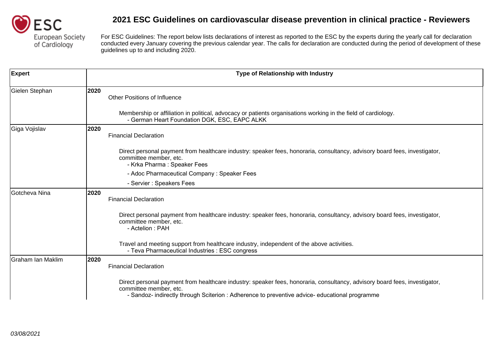

| <b>Expert</b>     |      | Type of Relationship with Industry                                                                                                                                                                                                                     |
|-------------------|------|--------------------------------------------------------------------------------------------------------------------------------------------------------------------------------------------------------------------------------------------------------|
| Gielen Stephan    | 2020 | <b>Other Positions of Influence</b>                                                                                                                                                                                                                    |
|                   |      | Membership or affiliation in political, advocacy or patients organisations working in the field of cardiology.<br>- German Heart Foundation DGK, ESC, EAPC ALKK                                                                                        |
| Giga Vojislav     | 2020 | <b>Financial Declaration</b>                                                                                                                                                                                                                           |
|                   |      | Direct personal payment from healthcare industry: speaker fees, honoraria, consultancy, advisory board fees, investigator,<br>committee member, etc.<br>- Krka Pharma: Speaker Fees                                                                    |
|                   |      | - Adoc Pharmaceutical Company: Speaker Fees                                                                                                                                                                                                            |
|                   |      | - Servier : Speakers Fees                                                                                                                                                                                                                              |
| Gotcheva Nina     | 2020 | <b>Financial Declaration</b>                                                                                                                                                                                                                           |
|                   |      | Direct personal payment from healthcare industry: speaker fees, honoraria, consultancy, advisory board fees, investigator,<br>committee member, etc.<br>- Actelion : PAH                                                                               |
|                   |      | Travel and meeting support from healthcare industry, independent of the above activities.<br>- Teva Pharmaceutical Industries : ESC congress                                                                                                           |
| Graham Ian Maklim | 2020 | <b>Financial Declaration</b>                                                                                                                                                                                                                           |
|                   |      | Direct personal payment from healthcare industry: speaker fees, honoraria, consultancy, advisory board fees, investigator,<br>committee member, etc.<br>- Sandoz- indirectly through Sciterion : Adherence to preventive advice- educational programme |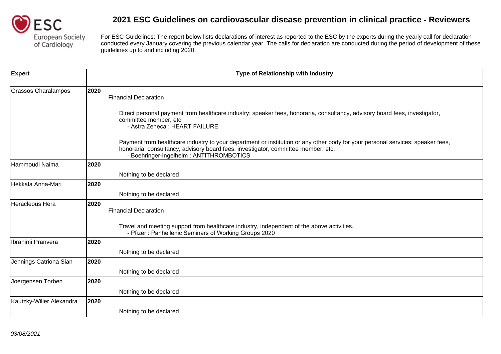

| <b>Expert</b>            |      | Type of Relationship with Industry                                                                                                                                                                                                                             |
|--------------------------|------|----------------------------------------------------------------------------------------------------------------------------------------------------------------------------------------------------------------------------------------------------------------|
| Grassos Charalampos      | 2020 | <b>Financial Declaration</b>                                                                                                                                                                                                                                   |
|                          |      | Direct personal payment from healthcare industry: speaker fees, honoraria, consultancy, advisory board fees, investigator,<br>committee member, etc.<br>- Astra Zeneca: HEART FAILURE                                                                          |
|                          |      | Payment from healthcare industry to your department or institution or any other body for your personal services: speaker fees,<br>honoraria, consultancy, advisory board fees, investigator, committee member, etc.<br>- Boehringer-Ingelheim: ANTITHROMBOTICS |
| Hammoudi Naima           | 2020 |                                                                                                                                                                                                                                                                |
|                          |      | Nothing to be declared                                                                                                                                                                                                                                         |
| Hekkala Anna-Mari        | 2020 |                                                                                                                                                                                                                                                                |
|                          |      | Nothing to be declared                                                                                                                                                                                                                                         |
| Heracleous Hera          | 2020 | <b>Financial Declaration</b>                                                                                                                                                                                                                                   |
|                          |      | Travel and meeting support from healthcare industry, independent of the above activities.<br>- Pfizer: Panhellenic Seminars of Working Groups 2020                                                                                                             |
| Ibrahimi Pranvera        | 2020 |                                                                                                                                                                                                                                                                |
|                          |      | Nothing to be declared                                                                                                                                                                                                                                         |
| Jennings Catriona Sian   | 2020 |                                                                                                                                                                                                                                                                |
|                          |      | Nothing to be declared                                                                                                                                                                                                                                         |
| Joergensen Torben        | 2020 |                                                                                                                                                                                                                                                                |
|                          |      | Nothing to be declared                                                                                                                                                                                                                                         |
| Kautzky-Willer Alexandra | 2020 |                                                                                                                                                                                                                                                                |
|                          |      | Nothing to be declared                                                                                                                                                                                                                                         |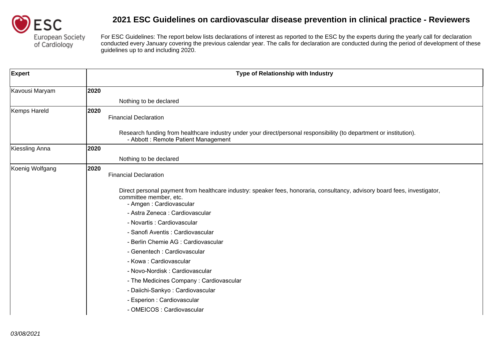

| <b>Expert</b>   | Type of Relationship with Industry                                                                                                                                              |
|-----------------|---------------------------------------------------------------------------------------------------------------------------------------------------------------------------------|
| Kavousi Maryam  | 2020                                                                                                                                                                            |
|                 | Nothing to be declared                                                                                                                                                          |
| Kemps Hareld    | 2020<br><b>Financial Declaration</b>                                                                                                                                            |
|                 | Research funding from healthcare industry under your direct/personal responsibility (to department or institution).<br>- Abbott: Remote Patient Management                      |
| Kiessling Anna  | 2020                                                                                                                                                                            |
|                 | Nothing to be declared                                                                                                                                                          |
| Koenig Wolfgang | 2020<br><b>Financial Declaration</b>                                                                                                                                            |
|                 | Direct personal payment from healthcare industry: speaker fees, honoraria, consultancy, advisory board fees, investigator,<br>committee member, etc.<br>- Amgen: Cardiovascular |
|                 | - Astra Zeneca : Cardiovascular                                                                                                                                                 |
|                 | - Novartis : Cardiovascular                                                                                                                                                     |
|                 | - Sanofi Aventis : Cardiovascular                                                                                                                                               |
|                 | - Berlin Chemie AG : Cardiovascular                                                                                                                                             |
|                 | - Genentech : Cardiovascular                                                                                                                                                    |
|                 | - Kowa: Cardiovascular                                                                                                                                                          |
|                 | - Novo-Nordisk: Cardiovascular                                                                                                                                                  |
|                 | - The Medicines Company: Cardiovascular                                                                                                                                         |
|                 | - Daiichi-Sankyo: Cardiovascular                                                                                                                                                |
|                 | - Esperion : Cardiovascular                                                                                                                                                     |
|                 | - OMEICOS : Cardiovascular                                                                                                                                                      |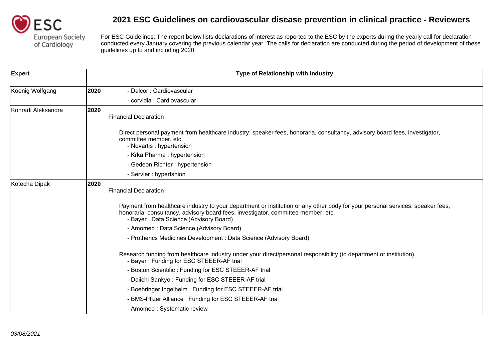

| <b>Expert</b>      |      | Type of Relationship with Industry                                                                                                                                                                                                                            |
|--------------------|------|---------------------------------------------------------------------------------------------------------------------------------------------------------------------------------------------------------------------------------------------------------------|
| Koenig Wolfgang    | 2020 | - Dalcor : Cardiovascular                                                                                                                                                                                                                                     |
|                    |      | - corvidia : Cardiovascular                                                                                                                                                                                                                                   |
| Konradi Aleksandra | 2020 | <b>Financial Declaration</b>                                                                                                                                                                                                                                  |
|                    |      | Direct personal payment from healthcare industry: speaker fees, honoraria, consultancy, advisory board fees, investigator,<br>committee member, etc.<br>- Novartis : hypertension                                                                             |
|                    |      | - Krka Pharma : hypertension                                                                                                                                                                                                                                  |
|                    |      | - Gedeon Richter: hypertension                                                                                                                                                                                                                                |
|                    |      | - Servier : hypertsnion                                                                                                                                                                                                                                       |
| Kotecha Dipak      | 2020 | <b>Financial Declaration</b>                                                                                                                                                                                                                                  |
|                    |      | Payment from healthcare industry to your department or institution or any other body for your personal services: speaker fees,<br>honoraria, consultancy, advisory board fees, investigator, committee member, etc.<br>- Bayer: Data Science (Advisory Board) |
|                    |      | - Amomed: Data Science (Advisory Board)                                                                                                                                                                                                                       |
|                    |      | - Protherics Medicines Development: Data Science (Advisory Board)                                                                                                                                                                                             |
|                    |      | Research funding from healthcare industry under your direct/personal responsibility (to department or institution).<br>- Bayer: Funding for ESC STEEER-AF trial                                                                                               |
|                    |      | - Boston Scientific: Funding for ESC STEEER-AF trial                                                                                                                                                                                                          |
|                    |      | - Daiichi Sankyo: Funding for ESC STEEER-AF trial                                                                                                                                                                                                             |
|                    |      | - Boehringer Ingelheim: Funding for ESC STEEER-AF trial                                                                                                                                                                                                       |
|                    |      | - BMS-Pfizer Alliance: Funding for ESC STEEER-AF trial                                                                                                                                                                                                        |
|                    |      | - Amomed : Systematic review                                                                                                                                                                                                                                  |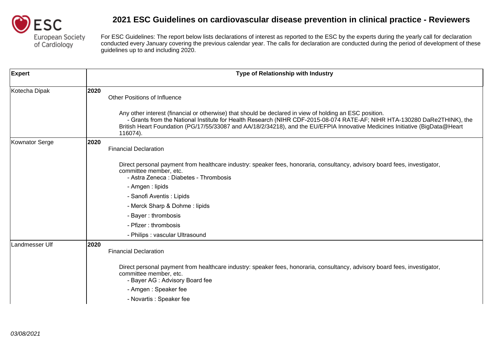

| <b>Expert</b>         | Type of Relationship with Industry                                                                                                                                                                                                                                                                                                                                                                                             |
|-----------------------|--------------------------------------------------------------------------------------------------------------------------------------------------------------------------------------------------------------------------------------------------------------------------------------------------------------------------------------------------------------------------------------------------------------------------------|
| Kotecha Dipak         | 2020<br><b>Other Positions of Influence</b><br>Any other interest (financial or otherwise) that should be declared in view of holding an ESC position.<br>- Grants from the National Institute for Health Research (NIHR CDF-2015-08-074 RATE-AF; NIHR HTA-130280 DaRe2THINK), the<br>British Heart Foundation (PG/17/55/33087 and AA/18/2/34218), and the EU/EFPIA Innovative Medicines Initiative (BigData@Heart<br>116074). |
| <b>Kownator Serge</b> | 2020<br><b>Financial Declaration</b><br>Direct personal payment from healthcare industry: speaker fees, honoraria, consultancy, advisory board fees, investigator,<br>committee member, etc.<br>- Astra Zeneca : Diabetes - Thrombosis<br>- Amgen : lipids<br>- Sanofi Aventis : Lipids<br>- Merck Sharp & Dohme: lipids<br>- Bayer: thrombosis<br>- Pfizer: thrombosis<br>- Philips : vascular Ultrasound                     |
| Landmesser Ulf        | 2020<br><b>Financial Declaration</b><br>Direct personal payment from healthcare industry: speaker fees, honoraria, consultancy, advisory board fees, investigator,<br>committee member, etc.<br>- Bayer AG : Advisory Board fee<br>- Amgen: Speaker fee<br>- Novartis : Speaker fee                                                                                                                                            |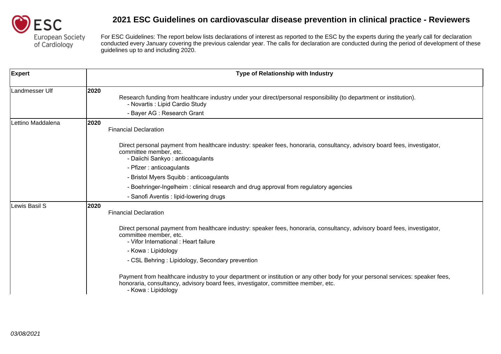

| <b>Expert</b>     | <b>Type of Relationship with Industry</b>                                                                                                                                                                                                 |
|-------------------|-------------------------------------------------------------------------------------------------------------------------------------------------------------------------------------------------------------------------------------------|
| Landmesser Ulf    | 2020<br>Research funding from healthcare industry under your direct/personal responsibility (to department or institution).<br>- Novartis : Lipid Cardio Study<br>- Bayer AG : Research Grant                                             |
| Lettino Maddalena | 2020<br><b>Financial Declaration</b>                                                                                                                                                                                                      |
|                   | Direct personal payment from healthcare industry: speaker fees, honoraria, consultancy, advisory board fees, investigator,<br>committee member, etc.<br>- Daiichi Sankyo: anticoagulants                                                  |
|                   | - Pfizer : anticoagulants                                                                                                                                                                                                                 |
|                   | - Bristol Myers Squibb: anticoagulants                                                                                                                                                                                                    |
|                   | - Boehringer-Ingelheim : clinical research and drug approval from regulatory agencies                                                                                                                                                     |
|                   | - Sanofi Aventis : lipid-lowering drugs                                                                                                                                                                                                   |
| Lewis Basil S     | 2020<br><b>Financial Declaration</b>                                                                                                                                                                                                      |
|                   | Direct personal payment from healthcare industry: speaker fees, honoraria, consultancy, advisory board fees, investigator,<br>committee member, etc.<br>- Vifor International : Heart failure                                             |
|                   | - Kowa: Lipidology                                                                                                                                                                                                                        |
|                   | - CSL Behring: Lipidology, Secondary prevention                                                                                                                                                                                           |
|                   | Payment from healthcare industry to your department or institution or any other body for your personal services: speaker fees,<br>honoraria, consultancy, advisory board fees, investigator, committee member, etc.<br>- Kowa: Lipidology |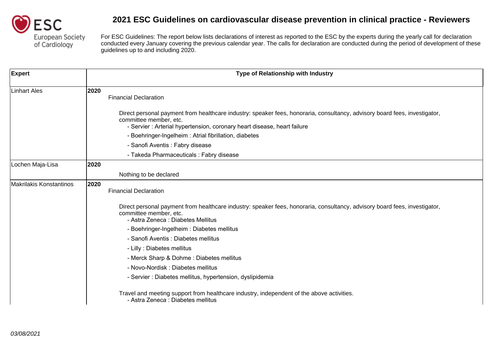

| <b>Expert</b>           |      | Type of Relationship with Industry                                                                                                                                                                                              |
|-------------------------|------|---------------------------------------------------------------------------------------------------------------------------------------------------------------------------------------------------------------------------------|
| <b>Linhart Ales</b>     | 2020 | <b>Financial Declaration</b>                                                                                                                                                                                                    |
|                         |      | Direct personal payment from healthcare industry: speaker fees, honoraria, consultancy, advisory board fees, investigator,<br>committee member, etc.<br>- Servier: Arterial hypertension, coronary heart disease, heart failure |
|                         |      | - Boehringer-Ingelheim : Atrial fibrillation, diabetes                                                                                                                                                                          |
|                         |      | - Sanofi Aventis : Fabry disease                                                                                                                                                                                                |
|                         |      | - Takeda Pharmaceuticals : Fabry disease                                                                                                                                                                                        |
| Lochen Maja-Lisa        | 2020 |                                                                                                                                                                                                                                 |
|                         |      | Nothing to be declared                                                                                                                                                                                                          |
| Makrilakis Konstantinos | 2020 | <b>Financial Declaration</b>                                                                                                                                                                                                    |
|                         |      | Direct personal payment from healthcare industry: speaker fees, honoraria, consultancy, advisory board fees, investigator,<br>committee member, etc.<br>- Astra Zeneca : Diabetes Mellitus                                      |
|                         |      | - Boehringer-Ingelheim: Diabetes mellitus                                                                                                                                                                                       |
|                         |      | - Sanofi Aventis : Diabetes mellitus                                                                                                                                                                                            |
|                         |      | - Lilly : Diabetes mellitus                                                                                                                                                                                                     |
|                         |      | - Merck Sharp & Dohme: Diabetes mellitus                                                                                                                                                                                        |
|                         |      | - Novo-Nordisk: Diabetes mellitus                                                                                                                                                                                               |
|                         |      | - Servier : Diabetes mellitus, hypertension, dyslipidemia                                                                                                                                                                       |
|                         |      | Travel and meeting support from healthcare industry, independent of the above activities.<br>- Astra Zeneca : Diabetes mellitus                                                                                                 |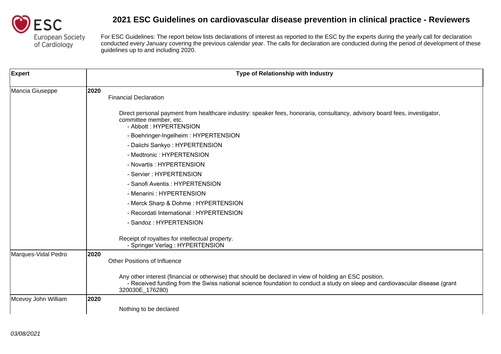

| <b>Expert</b>       | Type of Relationship with Industry                                                                                                                                                                                                                        |
|---------------------|-----------------------------------------------------------------------------------------------------------------------------------------------------------------------------------------------------------------------------------------------------------|
| Mancia Giuseppe     | 2020<br><b>Financial Declaration</b>                                                                                                                                                                                                                      |
|                     | Direct personal payment from healthcare industry: speaker fees, honoraria, consultancy, advisory board fees, investigator,<br>committee member, etc.<br>- Abbott: HYPERTENSION                                                                            |
|                     | - Boehringer-Ingelheim: HYPERTENSION                                                                                                                                                                                                                      |
|                     | - Daiichi Sankyo: HYPERTENSION                                                                                                                                                                                                                            |
|                     | - Medtronic : HYPERTENSION                                                                                                                                                                                                                                |
|                     | - Novartis: HYPERTENSION                                                                                                                                                                                                                                  |
|                     | - Servier: HYPERTENSION                                                                                                                                                                                                                                   |
|                     | - Sanofi Aventis: HYPERTENSION                                                                                                                                                                                                                            |
|                     | - Menarini : HYPERTENSION                                                                                                                                                                                                                                 |
|                     | - Merck Sharp & Dohme: HYPERTENSION                                                                                                                                                                                                                       |
|                     | - Recordati International : HYPERTENSION                                                                                                                                                                                                                  |
|                     | - Sandoz: HYPERTENSION                                                                                                                                                                                                                                    |
|                     | Receipt of royalties for intellectual property.<br>- Springer Verlag: HYPERTENSION                                                                                                                                                                        |
| Marques-Vidal Pedro | 2020<br><b>Other Positions of Influence</b>                                                                                                                                                                                                               |
|                     | Any other interest (financial or otherwise) that should be declared in view of holding an ESC position.<br>- Received funding from the Swiss national science foundation to conduct a study on sleep and cardiovascular disease (grant<br>320030E_176280) |
| Mcevoy John William | 2020                                                                                                                                                                                                                                                      |
|                     | Nothing to be declared                                                                                                                                                                                                                                    |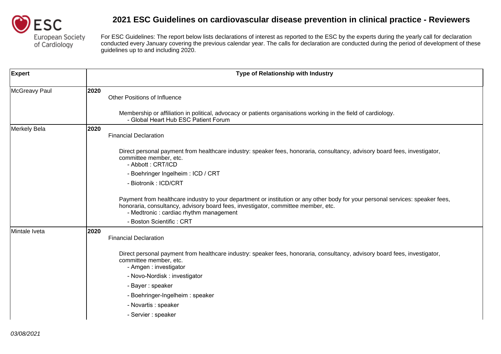

| <b>Expert</b> | Type of Relationship with Industry                                                                                                                                                                                                                             |
|---------------|----------------------------------------------------------------------------------------------------------------------------------------------------------------------------------------------------------------------------------------------------------------|
| McGreavy Paul | 2020<br><b>Other Positions of Influence</b>                                                                                                                                                                                                                    |
|               | Membership or affiliation in political, advocacy or patients organisations working in the field of cardiology.<br>- Global Heart Hub ESC Patient Forum                                                                                                         |
| Merkely Bela  | 2020<br><b>Financial Declaration</b>                                                                                                                                                                                                                           |
|               | Direct personal payment from healthcare industry: speaker fees, honoraria, consultancy, advisory board fees, investigator,<br>committee member, etc.<br>- Abbott: CRT/ICD                                                                                      |
|               | - Boehringer Ingelheim: ICD / CRT                                                                                                                                                                                                                              |
|               | - Biotronik: ICD/CRT                                                                                                                                                                                                                                           |
|               | Payment from healthcare industry to your department or institution or any other body for your personal services: speaker fees,<br>honoraria, consultancy, advisory board fees, investigator, committee member, etc.<br>- Medtronic : cardiac rhythm management |
|               | - Boston Scientific: CRT                                                                                                                                                                                                                                       |
| Mintale Iveta | 2020<br><b>Financial Declaration</b>                                                                                                                                                                                                                           |
|               | Direct personal payment from healthcare industry: speaker fees, honoraria, consultancy, advisory board fees, investigator,<br>committee member, etc.<br>- Amgen : investigator                                                                                 |
|               | - Novo-Nordisk: investigator                                                                                                                                                                                                                                   |
|               | - Bayer : speaker                                                                                                                                                                                                                                              |
|               | - Boehringer-Ingelheim: speaker                                                                                                                                                                                                                                |
|               | - Novartis : speaker                                                                                                                                                                                                                                           |
|               | - Servier : speaker                                                                                                                                                                                                                                            |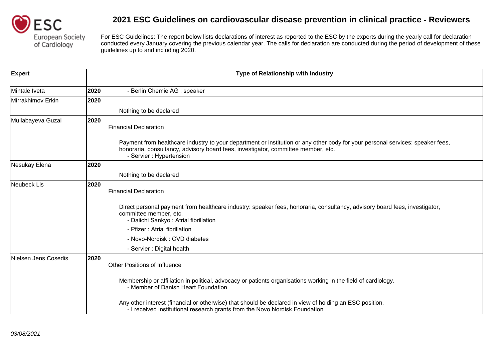

| <b>Expert</b>        |      | Type of Relationship with Industry                                                                                                                                                                                                              |
|----------------------|------|-------------------------------------------------------------------------------------------------------------------------------------------------------------------------------------------------------------------------------------------------|
| Mintale Iveta        | 2020 | - Berlin Chemie AG : speaker                                                                                                                                                                                                                    |
| Mirrakhimov Erkin    | 2020 |                                                                                                                                                                                                                                                 |
|                      |      | Nothing to be declared                                                                                                                                                                                                                          |
| Mullabayeva Guzal    | 2020 | <b>Financial Declaration</b>                                                                                                                                                                                                                    |
|                      |      | Payment from healthcare industry to your department or institution or any other body for your personal services: speaker fees,<br>honoraria, consultancy, advisory board fees, investigator, committee member, etc.<br>- Servier : Hypertension |
| Nesukay Elena        | 2020 |                                                                                                                                                                                                                                                 |
|                      |      | Nothing to be declared                                                                                                                                                                                                                          |
| Neubeck Lis          | 2020 | <b>Financial Declaration</b>                                                                                                                                                                                                                    |
|                      |      | Direct personal payment from healthcare industry: speaker fees, honoraria, consultancy, advisory board fees, investigator,<br>committee member, etc.<br>- Daiichi Sankyo: Atrial fibrillation                                                   |
|                      |      | - Pfizer: Atrial fibrillation                                                                                                                                                                                                                   |
|                      |      | - Novo-Nordisk: CVD diabetes                                                                                                                                                                                                                    |
|                      |      | - Servier : Digital health                                                                                                                                                                                                                      |
| Nielsen Jens Cosedis | 2020 | <b>Other Positions of Influence</b>                                                                                                                                                                                                             |
|                      |      | Membership or affiliation in political, advocacy or patients organisations working in the field of cardiology.<br>- Member of Danish Heart Foundation                                                                                           |
|                      |      | Any other interest (financial or otherwise) that should be declared in view of holding an ESC position.<br>- I received institutional research grants from the Novo Nordisk Foundation                                                          |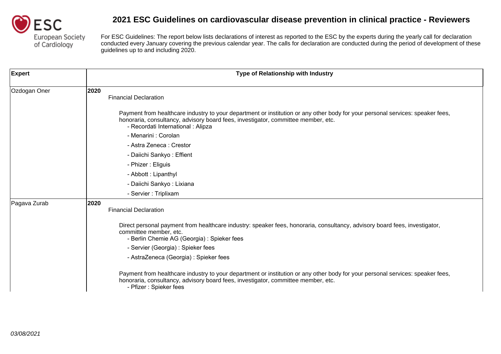

| <b>Expert</b> | Type of Relationship with Industry                                                                                                                                                                                                                        |
|---------------|-----------------------------------------------------------------------------------------------------------------------------------------------------------------------------------------------------------------------------------------------------------|
| Ozdogan Oner  | 2020<br><b>Financial Declaration</b>                                                                                                                                                                                                                      |
|               | Payment from healthcare industry to your department or institution or any other body for your personal services: speaker fees,<br>honoraria, consultancy, advisory board fees, investigator, committee member, etc.<br>- Recordati International : Alipza |
|               | - Menarini : Corolan                                                                                                                                                                                                                                      |
|               | - Astra Zeneca: Crestor                                                                                                                                                                                                                                   |
|               | - Daiichi Sankyo: Effient                                                                                                                                                                                                                                 |
|               | - Phizer: Eliguis                                                                                                                                                                                                                                         |
|               | - Abbott: Lipanthyl                                                                                                                                                                                                                                       |
|               | - Daiichi Sankyo: Lixiana                                                                                                                                                                                                                                 |
|               | - Servier : Triplixam                                                                                                                                                                                                                                     |
| Pagava Zurab  | 2020<br><b>Financial Declaration</b>                                                                                                                                                                                                                      |
|               | Direct personal payment from healthcare industry: speaker fees, honoraria, consultancy, advisory board fees, investigator,<br>committee member, etc.<br>- Berlin Chemie AG (Georgia) : Spieker fees                                                       |
|               | - Servier (Georgia) : Spieker fees                                                                                                                                                                                                                        |
|               | - AstraZeneca (Georgia) : Spieker fees                                                                                                                                                                                                                    |
|               | Payment from healthcare industry to your department or institution or any other body for your personal services: speaker fees,<br>honoraria, consultancy, advisory board fees, investigator, committee member, etc.<br>- Pfizer: Spieker fees             |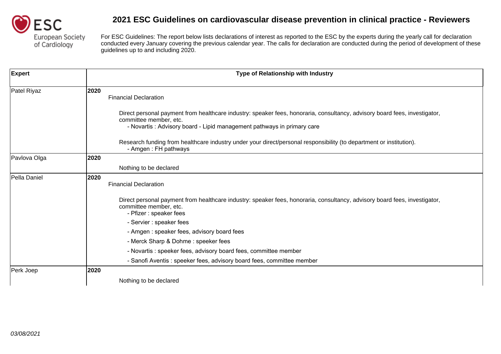

| <b>Expert</b> | Type of Relationship with Industry                                                                                                                                                                                             |
|---------------|--------------------------------------------------------------------------------------------------------------------------------------------------------------------------------------------------------------------------------|
| Patel Riyaz   | 2020<br><b>Financial Declaration</b>                                                                                                                                                                                           |
|               | Direct personal payment from healthcare industry: speaker fees, honoraria, consultancy, advisory board fees, investigator,<br>committee member, etc.<br>- Novartis: Advisory board - Lipid management pathways in primary care |
|               | Research funding from healthcare industry under your direct/personal responsibility (to department or institution).<br>- Amgen: FH pathways                                                                                    |
| Pavlova Olga  | 2020                                                                                                                                                                                                                           |
|               | Nothing to be declared                                                                                                                                                                                                         |
| Pella Daniel  | 2020<br><b>Financial Declaration</b>                                                                                                                                                                                           |
|               | Direct personal payment from healthcare industry: speaker fees, honoraria, consultancy, advisory board fees, investigator,<br>committee member, etc.<br>- Pfizer : speaker fees                                                |
|               | - Servier : speaker fees                                                                                                                                                                                                       |
|               | - Amgen: speaker fees, advisory board fees                                                                                                                                                                                     |
|               | - Merck Sharp & Dohme: speeker fees                                                                                                                                                                                            |
|               | - Novartis: speeker fees, advisory board fees, committee member                                                                                                                                                                |
|               | - Sanofi Aventis: speeker fees, advisory board fees, committee member                                                                                                                                                          |
| Perk Joep     | 2020                                                                                                                                                                                                                           |
|               | Nothing to be declared                                                                                                                                                                                                         |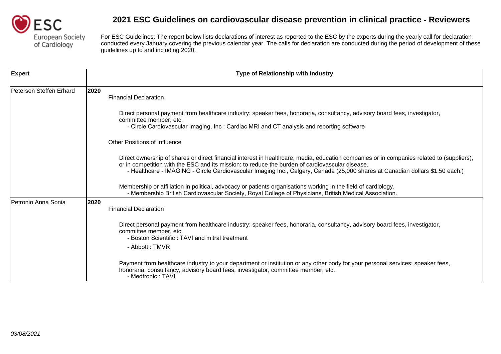

| <b>Expert</b>           | <b>Type of Relationship with Industry</b>                                                                                                                                                                                                                                                                                                                                     |
|-------------------------|-------------------------------------------------------------------------------------------------------------------------------------------------------------------------------------------------------------------------------------------------------------------------------------------------------------------------------------------------------------------------------|
| Petersen Steffen Erhard | 2020<br><b>Financial Declaration</b>                                                                                                                                                                                                                                                                                                                                          |
|                         | Direct personal payment from healthcare industry: speaker fees, honoraria, consultancy, advisory board fees, investigator,<br>committee member, etc.<br>- Circle Cardiovascular Imaging, Inc : Cardiac MRI and CT analysis and reporting software                                                                                                                             |
|                         | <b>Other Positions of Influence</b>                                                                                                                                                                                                                                                                                                                                           |
|                         | Direct ownership of shares or direct financial interest in healthcare, media, education companies or in companies related to (suppliers),<br>or in competition with the ESC and its mission: to reduce the burden of cardiovascular disease.<br>- Healthcare - IMAGING - Circle Cardiovascular Imaging Inc., Calgary, Canada (25,000 shares at Canadian dollars \$1.50 each.) |
|                         | Membership or affiliation in political, advocacy or patients organisations working in the field of cardiology.<br>- Membership British Cardiovascular Society, Royal College of Physicians, British Medical Association.                                                                                                                                                      |
| Petronio Anna Sonia     | 2020<br><b>Financial Declaration</b>                                                                                                                                                                                                                                                                                                                                          |
|                         | Direct personal payment from healthcare industry: speaker fees, honoraria, consultancy, advisory board fees, investigator,<br>committee member, etc.<br>- Boston Scientific: TAVI and mitral treatment<br>- Abbott: TMVR                                                                                                                                                      |
|                         | Payment from healthcare industry to your department or institution or any other body for your personal services: speaker fees,<br>honoraria, consultancy, advisory board fees, investigator, committee member, etc.<br>- Medtronic: TAVI                                                                                                                                      |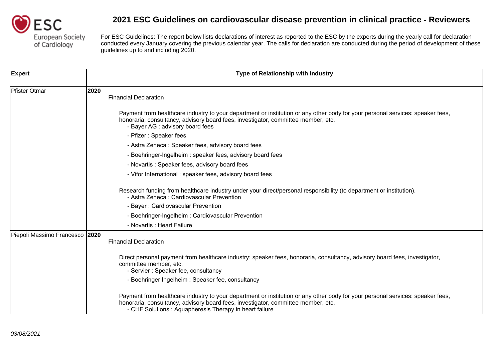

| <b>Expert</b>                  | Type of Relationship with Industry                                                                                                                                                                                                                                            |
|--------------------------------|-------------------------------------------------------------------------------------------------------------------------------------------------------------------------------------------------------------------------------------------------------------------------------|
| Pfister Otmar                  | 2020<br><b>Financial Declaration</b>                                                                                                                                                                                                                                          |
|                                | Payment from healthcare industry to your department or institution or any other body for your personal services: speaker fees,<br>honoraria, consultancy, advisory board fees, investigator, committee member, etc.<br>- Bayer AG : advisory board fees                       |
|                                | - Pfizer: Speaker fees                                                                                                                                                                                                                                                        |
|                                | - Astra Zeneca: Speaker fees, advisory board fees                                                                                                                                                                                                                             |
|                                | - Boehringer-Ingelheim: speaker fees, advisory board fees                                                                                                                                                                                                                     |
|                                | - Novartis: Speaker fees, advisory board fees                                                                                                                                                                                                                                 |
|                                | - Vifor International: speaker fees, advisory board fees                                                                                                                                                                                                                      |
|                                | Research funding from healthcare industry under your direct/personal responsibility (to department or institution).<br>- Astra Zeneca: Cardiovascular Prevention                                                                                                              |
|                                | - Bayer: Cardiovascular Prevention                                                                                                                                                                                                                                            |
|                                | - Boehringer-Ingelheim: Cardiovascular Prevention                                                                                                                                                                                                                             |
|                                | - Novartis : Heart Failure                                                                                                                                                                                                                                                    |
| Piepoli Massimo Francesco 2020 | <b>Financial Declaration</b>                                                                                                                                                                                                                                                  |
|                                | Direct personal payment from healthcare industry: speaker fees, honoraria, consultancy, advisory board fees, investigator,<br>committee member, etc.<br>- Servier: Speaker fee, consultancy                                                                                   |
|                                | - Boehringer Ingelheim: Speaker fee, consultancy                                                                                                                                                                                                                              |
|                                | Payment from healthcare industry to your department or institution or any other body for your personal services: speaker fees,<br>honoraria, consultancy, advisory board fees, investigator, committee member, etc.<br>- CHF Solutions: Aquapheresis Therapy in heart failure |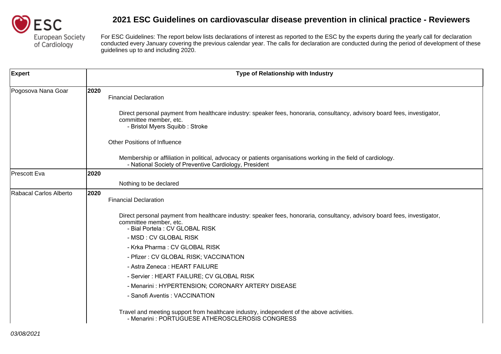

| <b>Expert</b>          |      | Type of Relationship with Industry                                                                                                                                                      |
|------------------------|------|-----------------------------------------------------------------------------------------------------------------------------------------------------------------------------------------|
| Pogosova Nana Goar     | 2020 | <b>Financial Declaration</b>                                                                                                                                                            |
|                        |      | Direct personal payment from healthcare industry: speaker fees, honoraria, consultancy, advisory board fees, investigator,<br>committee member, etc.<br>- Bristol Myers Squibb: Stroke  |
|                        |      | <b>Other Positions of Influence</b>                                                                                                                                                     |
|                        |      | Membership or affiliation in political, advocacy or patients organisations working in the field of cardiology.<br>- National Society of Preventive Cardiology, President                |
| Prescott Eva           | 2020 |                                                                                                                                                                                         |
|                        |      | Nothing to be declared                                                                                                                                                                  |
| Rabacal Carlos Alberto | 2020 | <b>Financial Declaration</b>                                                                                                                                                            |
|                        |      | Direct personal payment from healthcare industry: speaker fees, honoraria, consultancy, advisory board fees, investigator,<br>committee member, etc.<br>- Bial Portela : CV GLOBAL RISK |
|                        |      | - MSD : CV GLOBAL RISK                                                                                                                                                                  |
|                        |      | - Krka Pharma: CV GLOBAL RISK                                                                                                                                                           |
|                        |      | - Pfizer: CV GLOBAL RISK; VACCINATION                                                                                                                                                   |
|                        |      | - Astra Zeneca: HEART FAILURE                                                                                                                                                           |
|                        |      | - Servier : HEART FAILURE; CV GLOBAL RISK                                                                                                                                               |
|                        |      | - Menarini: HYPERTENSION; CORONARY ARTERY DISEASE                                                                                                                                       |
|                        |      | - Sanofi Aventis: VACCINATION                                                                                                                                                           |
|                        |      | Travel and meeting support from healthcare industry, independent of the above activities.<br>- Menarini: PORTUGUESE ATHEROSCLEROSIS CONGRESS                                            |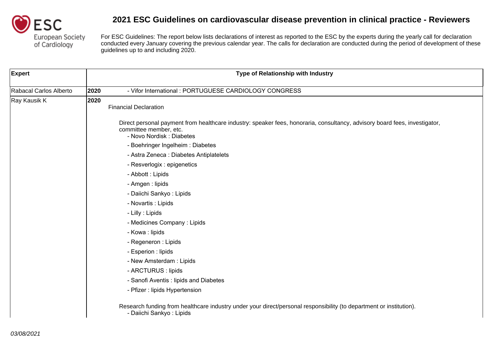

| <b>Expert</b>          |      | Type of Relationship with Industry                                                                                                                                               |
|------------------------|------|----------------------------------------------------------------------------------------------------------------------------------------------------------------------------------|
| Rabacal Carlos Alberto | 2020 | - Vifor International: PORTUGUESE CARDIOLOGY CONGRESS                                                                                                                            |
| Ray Kausik K           | 2020 | <b>Financial Declaration</b>                                                                                                                                                     |
|                        |      | Direct personal payment from healthcare industry: speaker fees, honoraria, consultancy, advisory board fees, investigator,<br>committee member, etc.<br>- Novo Nordisk: Diabetes |
|                        |      | - Boehringer Ingelheim: Diabetes                                                                                                                                                 |
|                        |      | - Astra Zeneca : Diabetes Antiplatelets                                                                                                                                          |
|                        |      | - Resverlogix : epigenetics                                                                                                                                                      |
|                        |      | - Abbott : Lipids                                                                                                                                                                |
|                        |      | - Amgen : lipids                                                                                                                                                                 |
|                        |      | - Daiichi Sankyo: Lipids                                                                                                                                                         |
|                        |      | - Novartis : Lipids                                                                                                                                                              |
|                        |      | - Lilly : Lipids                                                                                                                                                                 |
|                        |      | - Medicines Company: Lipids                                                                                                                                                      |
|                        |      | - Kowa : lipids                                                                                                                                                                  |
|                        |      | - Regeneron : Lipids                                                                                                                                                             |
|                        |      | - Esperion : lipids                                                                                                                                                              |
|                        |      | - New Amsterdam: Lipids                                                                                                                                                          |
|                        |      | - ARCTURUS : lipids                                                                                                                                                              |
|                        |      | - Sanofi Aventis : lipids and Diabetes                                                                                                                                           |
|                        |      | - Pfizer : lipids Hypertension                                                                                                                                                   |
|                        |      | Research funding from healthcare industry under your direct/personal responsibility (to department or institution).<br>- Daiichi Sankyo: Lipids                                  |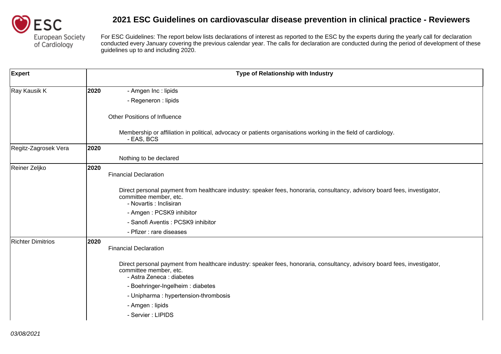

| <b>Expert</b>            |      | Type of Relationship with Industry                                                                                                                                                |
|--------------------------|------|-----------------------------------------------------------------------------------------------------------------------------------------------------------------------------------|
| Ray Kausik K             | 2020 | - Amgen Inc : lipids                                                                                                                                                              |
|                          |      | - Regeneron : lipids                                                                                                                                                              |
|                          |      | <b>Other Positions of Influence</b>                                                                                                                                               |
|                          |      | Membership or affiliation in political, advocacy or patients organisations working in the field of cardiology.<br>- EAS, BCS                                                      |
| Regitz-Zagrosek Vera     | 2020 |                                                                                                                                                                                   |
|                          |      | Nothing to be declared                                                                                                                                                            |
| Reiner Zeljko            | 2020 | <b>Financial Declaration</b>                                                                                                                                                      |
|                          |      | Direct personal payment from healthcare industry: speaker fees, honoraria, consultancy, advisory board fees, investigator,<br>committee member, etc.<br>- Novartis : Inclisiran   |
|                          |      | - Amgen: PCSK9 inhibitor                                                                                                                                                          |
|                          |      | - Sanofi Aventis: PCSK9 inhibitor                                                                                                                                                 |
|                          |      | - Pfizer : rare diseases                                                                                                                                                          |
| <b>Richter Dimitrios</b> | 2020 | <b>Financial Declaration</b>                                                                                                                                                      |
|                          |      | Direct personal payment from healthcare industry: speaker fees, honoraria, consultancy, advisory board fees, investigator,<br>committee member, etc.<br>- Astra Zeneca : diabetes |
|                          |      | - Boehringer-Ingelheim : diabetes                                                                                                                                                 |
|                          |      | - Unipharma : hypertension-thrombosis                                                                                                                                             |
|                          |      | - Amgen : lipids                                                                                                                                                                  |
|                          |      | - Servier : LIPIDS                                                                                                                                                                |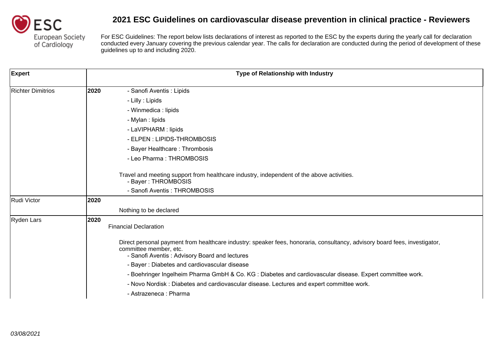

| <b>Expert</b>            | Type of Relationship with Industry                                                                                                                                                                    |
|--------------------------|-------------------------------------------------------------------------------------------------------------------------------------------------------------------------------------------------------|
| <b>Richter Dimitrios</b> | 2020<br>- Sanofi Aventis : Lipids                                                                                                                                                                     |
|                          | - Lilly : Lipids                                                                                                                                                                                      |
|                          | - Winmedica : lipids                                                                                                                                                                                  |
|                          | - Mylan : lipids                                                                                                                                                                                      |
|                          | - LaVIPHARM : lipids                                                                                                                                                                                  |
|                          | - ELPEN : LIPIDS-THROMBOSIS                                                                                                                                                                           |
|                          | - Bayer Healthcare: Thrombosis                                                                                                                                                                        |
|                          | - Leo Pharma: THROMBOSIS                                                                                                                                                                              |
|                          | Travel and meeting support from healthcare industry, independent of the above activities.<br>- Bayer: THROMBOSIS<br>- Sanofi Aventis: THROMBOSIS                                                      |
| Rudi Victor              | 2020                                                                                                                                                                                                  |
|                          | Nothing to be declared                                                                                                                                                                                |
| Ryden Lars               | 2020<br><b>Financial Declaration</b>                                                                                                                                                                  |
|                          | Direct personal payment from healthcare industry: speaker fees, honoraria, consultancy, advisory board fees, investigator,<br>committee member, etc.<br>- Sanofi Aventis: Advisory Board and lectures |
|                          | - Bayer: Diabetes and cardiovascular disease                                                                                                                                                          |
|                          | - Boehringer Ingelheim Pharma GmbH & Co. KG : Diabetes and cardiovascular disease. Expert committee work.                                                                                             |
|                          | - Novo Nordisk: Diabetes and cardiovascular disease. Lectures and expert committee work.                                                                                                              |
|                          | - Astrazeneca : Pharma                                                                                                                                                                                |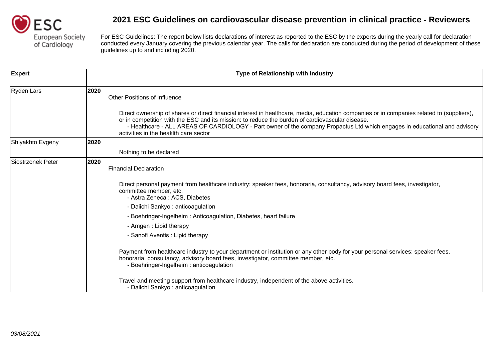

| <b>Expert</b>     | <b>Type of Relationship with Industry</b>                                                                                                                                                                                                                                                                                                                                                                                                                                                                                              |
|-------------------|----------------------------------------------------------------------------------------------------------------------------------------------------------------------------------------------------------------------------------------------------------------------------------------------------------------------------------------------------------------------------------------------------------------------------------------------------------------------------------------------------------------------------------------|
| Ryden Lars        | 2020<br><b>Other Positions of Influence</b><br>Direct ownership of shares or direct financial interest in healthcare, media, education companies or in companies related to (suppliers),<br>or in competition with the ESC and its mission: to reduce the burden of cardiovascular disease.<br>- Healthcare - ALL AREAS OF CARDIOLOGY - Part owner of the company Propactus Ltd which engages in educational and advisory<br>activities in the heaklth care sector                                                                     |
| Shlyakhto Evgeny  | 2020                                                                                                                                                                                                                                                                                                                                                                                                                                                                                                                                   |
|                   | Nothing to be declared                                                                                                                                                                                                                                                                                                                                                                                                                                                                                                                 |
| Siostrzonek Peter | 2020<br><b>Financial Declaration</b><br>Direct personal payment from healthcare industry: speaker fees, honoraria, consultancy, advisory board fees, investigator,<br>committee member, etc.<br>- Astra Zeneca: ACS, Diabetes<br>- Daiichi Sankyo: anticoagulation<br>- Boehringer-Ingelheim: Anticoagulation, Diabetes, heart failure<br>- Amgen: Lipid therapy<br>- Sanofi Aventis : Lipid therapy<br>Payment from healthcare industry to your department or institution or any other body for your personal services: speaker fees, |
|                   | honoraria, consultancy, advisory board fees, investigator, committee member, etc.<br>- Boehringer-Ingelheim: anticoagulation<br>Travel and meeting support from healthcare industry, independent of the above activities.<br>- Daiichi Sankyo: anticoagulation                                                                                                                                                                                                                                                                         |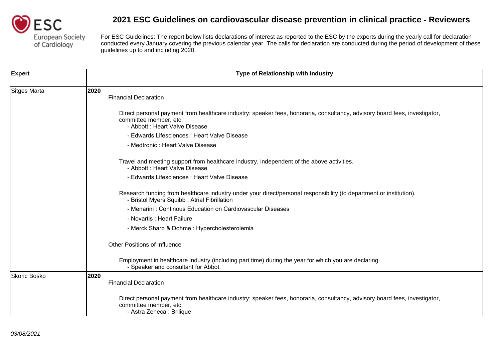

| Expert       | Type of Relationship with Industry                                                                                                                                                     |
|--------------|----------------------------------------------------------------------------------------------------------------------------------------------------------------------------------------|
| Sitges Marta | 2020<br><b>Financial Declaration</b>                                                                                                                                                   |
|              | Direct personal payment from healthcare industry: speaker fees, honoraria, consultancy, advisory board fees, investigator,<br>committee member, etc.<br>- Abbott : Heart Valve Disease |
|              | - Edwards Lifesciences : Heart Valve Disease                                                                                                                                           |
|              | - Medtronic : Heart Valve Disease                                                                                                                                                      |
|              | Travel and meeting support from healthcare industry, independent of the above activities.<br>- Abbott : Heart Valve Disease                                                            |
|              | - Edwards Lifesciences : Heart Valve Disease                                                                                                                                           |
|              | Research funding from healthcare industry under your direct/personal responsibility (to department or institution).<br>- Bristol Myers Squibb : Atrial Fibrillation                    |
|              | - Menarini: Continous Education on Cardiovascular Diseases                                                                                                                             |
|              | - Novartis : Heart Failure                                                                                                                                                             |
|              | - Merck Sharp & Dohme: Hypercholesterolemia                                                                                                                                            |
|              | <b>Other Positions of Influence</b>                                                                                                                                                    |
|              | Employment in healthcare industry (including part time) during the year for which you are declaring.<br>- Speaker and consultant for Abbot.                                            |
| Skoric Bosko | 2020<br><b>Financial Declaration</b>                                                                                                                                                   |
|              | Direct personal payment from healthcare industry: speaker fees, honoraria, consultancy, advisory board fees, investigator,<br>committee member, etc.<br>- Astra Zeneca : Brilique      |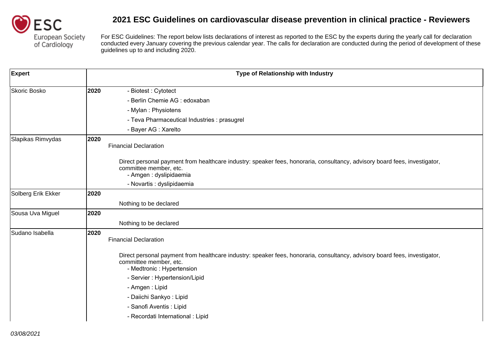

| <b>Expert</b>      |      | Type of Relationship with Industry                                                                                                                                                 |
|--------------------|------|------------------------------------------------------------------------------------------------------------------------------------------------------------------------------------|
| Skoric Bosko       | 2020 | - Biotest: Cytotect                                                                                                                                                                |
|                    |      | - Berlin Chemie AG : edoxaban                                                                                                                                                      |
|                    |      | - Mylan : Physiotens                                                                                                                                                               |
|                    |      | - Teva Pharmaceutical Industries : prasugrel                                                                                                                                       |
|                    |      | - Bayer AG : Xarelto                                                                                                                                                               |
| Slapikas Rimvydas  | 2020 | <b>Financial Declaration</b>                                                                                                                                                       |
|                    |      | Direct personal payment from healthcare industry: speaker fees, honoraria, consultancy, advisory board fees, investigator,<br>committee member, etc.<br>- Amgen : dyslipidaemia    |
|                    |      | - Novartis : dyslipidaemia                                                                                                                                                         |
| Solberg Erik Ekker | 2020 |                                                                                                                                                                                    |
|                    |      | Nothing to be declared                                                                                                                                                             |
| Sousa Uva Miguel   | 2020 |                                                                                                                                                                                    |
|                    |      | Nothing to be declared                                                                                                                                                             |
| Sudano Isabella    | 2020 | <b>Financial Declaration</b>                                                                                                                                                       |
|                    |      | Direct personal payment from healthcare industry: speaker fees, honoraria, consultancy, advisory board fees, investigator,<br>committee member, etc.<br>- Medtronic : Hypertension |
|                    |      | - Servier : Hypertension/Lipid                                                                                                                                                     |
|                    |      | - Amgen: Lipid                                                                                                                                                                     |
|                    |      | - Daiichi Sankyo: Lipid                                                                                                                                                            |
|                    |      | - Sanofi Aventis : Lipid                                                                                                                                                           |
|                    |      | - Recordati International : Lipid                                                                                                                                                  |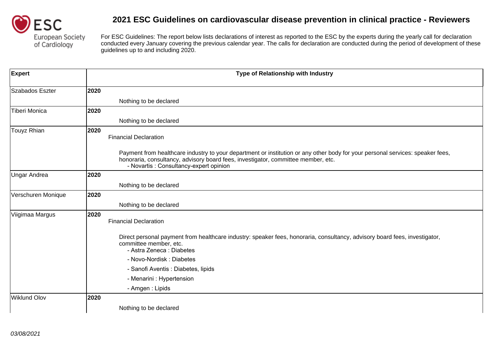

| <b>Expert</b>      |      | Type of Relationship with Industry                                                                                                                                                                                                                             |
|--------------------|------|----------------------------------------------------------------------------------------------------------------------------------------------------------------------------------------------------------------------------------------------------------------|
| Szabados Eszter    | 2020 |                                                                                                                                                                                                                                                                |
|                    |      | Nothing to be declared                                                                                                                                                                                                                                         |
| Tiberi Monica      | 2020 |                                                                                                                                                                                                                                                                |
|                    |      | Nothing to be declared                                                                                                                                                                                                                                         |
| Touyz Rhian        | 2020 | <b>Financial Declaration</b>                                                                                                                                                                                                                                   |
|                    |      | Payment from healthcare industry to your department or institution or any other body for your personal services: speaker fees,<br>honoraria, consultancy, advisory board fees, investigator, committee member, etc.<br>- Novartis : Consultancy-expert opinion |
| Ungar Andrea       | 2020 |                                                                                                                                                                                                                                                                |
|                    |      | Nothing to be declared                                                                                                                                                                                                                                         |
| Verschuren Monique | 2020 |                                                                                                                                                                                                                                                                |
|                    |      | Nothing to be declared                                                                                                                                                                                                                                         |
| Viigimaa Margus    | 2020 | <b>Financial Declaration</b>                                                                                                                                                                                                                                   |
|                    |      | Direct personal payment from healthcare industry: speaker fees, honoraria, consultancy, advisory board fees, investigator,<br>committee member, etc.<br>- Astra Zeneca : Diabetes                                                                              |
|                    |      | - Novo-Nordisk: Diabetes                                                                                                                                                                                                                                       |
|                    |      | - Sanofi Aventis : Diabetes, lipids                                                                                                                                                                                                                            |
|                    |      | - Menarini : Hypertension                                                                                                                                                                                                                                      |
|                    |      | - Amgen: Lipids                                                                                                                                                                                                                                                |
| Wiklund Olov       | 2020 |                                                                                                                                                                                                                                                                |
|                    |      | Nothing to be declared                                                                                                                                                                                                                                         |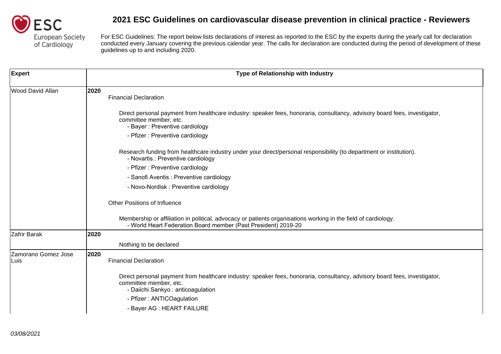

| <b>Expert</b>               | Type of Relationship with Industry                                                                                                                                                        |
|-----------------------------|-------------------------------------------------------------------------------------------------------------------------------------------------------------------------------------------|
| <b>Wood David Allan</b>     | 2020<br><b>Financial Declaration</b>                                                                                                                                                      |
|                             | Direct personal payment from healthcare industry: speaker fees, honoraria, consultancy, advisory board fees, investigator,<br>committee member, etc.<br>- Bayer: Preventive cardiology    |
|                             | - Pfizer : Preventive cardiology                                                                                                                                                          |
|                             | Research funding from healthcare industry under your direct/personal responsibility (to department or institution).<br>- Novartis : Preventive cardiology                                 |
|                             | - Pfizer : Preventive cardiology                                                                                                                                                          |
|                             | - Sanofi Aventis : Preventive cardiology                                                                                                                                                  |
|                             | - Novo-Nordisk: Preventive cardiology                                                                                                                                                     |
|                             | <b>Other Positions of Influence</b>                                                                                                                                                       |
|                             | Membership or affiliation in political, advocacy or patients organisations working in the field of cardiology.<br>- World Heart Federation Board member (Past President) 2019-20          |
| Zafrir Barak                | 2020                                                                                                                                                                                      |
|                             | Nothing to be declared                                                                                                                                                                    |
| Zamorano Gomez Jose<br>Luis | 2020<br><b>Financial Declaration</b>                                                                                                                                                      |
|                             | Direct personal payment from healthcare industry: speaker fees, honoraria, consultancy, advisory board fees, investigator,<br>committee member, etc.<br>- Daiichi Sankyo: anticoagulation |
|                             | - Pfizer: ANTICOagulation<br>- Bayer AG : HEART FAILURE                                                                                                                                   |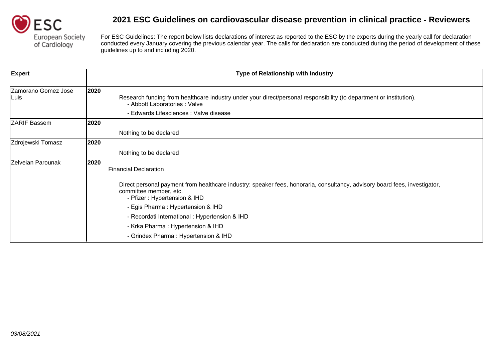

| <b>Expert</b>               | Type of Relationship with Industry                                                                                                                                                                    |
|-----------------------------|-------------------------------------------------------------------------------------------------------------------------------------------------------------------------------------------------------|
| Zamorano Gomez Jose<br>Luis | 2020<br>Research funding from healthcare industry under your direct/personal responsibility (to department or institution).<br>- Abbott Laboratories: Valve<br>- Edwards Lifesciences : Valve disease |
| <b>ZARIF Bassem</b>         | 2020                                                                                                                                                                                                  |
|                             | Nothing to be declared                                                                                                                                                                                |
| Zdrojewski Tomasz           | 2020                                                                                                                                                                                                  |
|                             | Nothing to be declared                                                                                                                                                                                |
| Zelveian Parounak           | 2020<br><b>Financial Declaration</b>                                                                                                                                                                  |
|                             | Direct personal payment from healthcare industry: speaker fees, honoraria, consultancy, advisory board fees, investigator,<br>committee member, etc.<br>- Pfizer: Hypertension & IHD                  |
|                             | - Egis Pharma: Hypertension & IHD                                                                                                                                                                     |
|                             | - Recordati International : Hypertension & IHD                                                                                                                                                        |
|                             | - Krka Pharma: Hypertension & IHD                                                                                                                                                                     |
|                             | - Grindex Pharma: Hypertension & IHD                                                                                                                                                                  |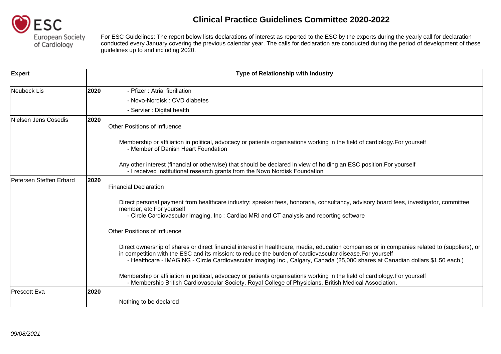

## **Clinical Practice Guidelines Committee 2020-2022**

For ESC Guidelines: The report below lists declarations of interest as reported to the ESC by the experts during the yearly call for declaration conducted every January covering the previous calendar year. The calls for declaration are conducted during the period of development of these guidelines up to and including 2020.

| <b>Expert</b>           |      | Type of Relationship with Industry                                                                                                                                                                                                                                                                                                                                            |
|-------------------------|------|-------------------------------------------------------------------------------------------------------------------------------------------------------------------------------------------------------------------------------------------------------------------------------------------------------------------------------------------------------------------------------|
| Neubeck Lis             | 2020 | - Pfizer: Atrial fibrillation                                                                                                                                                                                                                                                                                                                                                 |
|                         |      | - Novo-Nordisk: CVD diabetes                                                                                                                                                                                                                                                                                                                                                  |
|                         |      | - Servier : Digital health                                                                                                                                                                                                                                                                                                                                                    |
| Nielsen Jens Cosedis    | 2020 | <b>Other Positions of Influence</b>                                                                                                                                                                                                                                                                                                                                           |
|                         |      | Membership or affiliation in political, advocacy or patients organisations working in the field of cardiology.<br>- Member of Danish Heart Foundation                                                                                                                                                                                                                         |
|                         |      | Any other interest (financial or otherwise) that should be declared in view of holding an ESC position.<br>- I received institutional research grants from the Novo Nordisk Foundation                                                                                                                                                                                        |
| Petersen Steffen Erhard | 2020 | <b>Financial Declaration</b>                                                                                                                                                                                                                                                                                                                                                  |
|                         |      | Direct personal payment from healthcare industry: speaker fees, honoraria, consultancy, advisory board fees, investigator,<br>committee member, etc.<br>- Circle Cardiovascular Imaging, Inc : Cardiac MRI and CT analysis and reporting software                                                                                                                             |
|                         |      | <b>Other Positions of Influence</b>                                                                                                                                                                                                                                                                                                                                           |
|                         |      | Direct ownership of shares or direct financial interest in healthcare, media, education companies or in companies related to (suppliers),<br>or in competition with the ESC and its mission: to reduce the burden of cardiovascular disease.<br>- Healthcare - IMAGING - Circle Cardiovascular Imaging Inc., Calgary, Canada (25,000 shares at Canadian dollars \$1.50 each.) |
|                         |      | Membership or affiliation in political, advocacy or patients organisations working in the field of cardiology.<br>- Membership British Cardiovascular Society, Royal College of Physicians, British Medical Association.                                                                                                                                                      |
| Prescott Eva            | 2020 |                                                                                                                                                                                                                                                                                                                                                                               |
|                         |      | Nothing to be declared                                                                                                                                                                                                                                                                                                                                                        |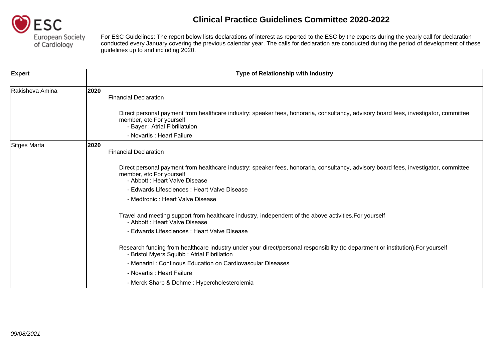

For ESC Guidelines: The report below lists declarations of interest as reported to the ESC by the experts during the yearly call for declaration conducted every January covering the previous calendar year. The calls for declaration are conducted during the period of development of these guidelines up to and including 2020.

| <b>Expert</b>   | Type of Relationship with Industry                                                                                                                                                    |
|-----------------|---------------------------------------------------------------------------------------------------------------------------------------------------------------------------------------|
| Rakisheva Amina | 2020<br><b>Financial Declaration</b>                                                                                                                                                  |
|                 | Direct personal payment from healthcare industry: speaker fees, honoraria, consultancy, advisory board fees, investigator,<br>committee member, etc.<br>- Bayer: Atrial Fibrillatuion |
|                 | - Novartis : Heart Failure                                                                                                                                                            |
| Sitges Marta    | 2020<br><b>Financial Declaration</b>                                                                                                                                                  |
|                 | Direct personal payment from healthcare industry: speaker fees, honoraria, consultancy, advisory board fees, investigator,<br>committee member, etc.<br>- Abbott: Heart Valve Disease |
|                 | - Edwards Lifesciences : Heart Valve Disease                                                                                                                                          |
|                 | - Medtronic : Heart Valve Disease                                                                                                                                                     |
|                 | Travel and meeting support from healthcare industry, independent of the above activities.<br>- Abbott: Heart Valve Disease                                                            |
|                 | - Edwards Lifesciences : Heart Valve Disease                                                                                                                                          |
|                 | Research funding from healthcare industry under your direct/personal responsibility (to department or institution).<br>- Bristol Myers Squibb: Atrial Fibrillation                    |
|                 | - Menarini: Continous Education on Cardiovascular Diseases                                                                                                                            |
|                 | - Novartis : Heart Failure                                                                                                                                                            |
|                 | - Merck Sharp & Dohme: Hypercholesterolemia                                                                                                                                           |